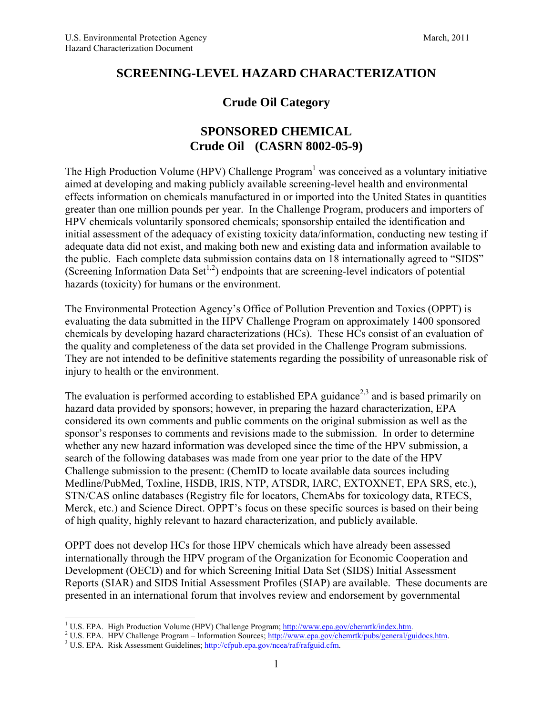## **SCREENING-LEVEL HAZARD CHARACTERIZATION**

# **Crude Oil Category**

# **SPONSORED CHEMICAL Crude Oil (CASRN 8002-05-9)**

The High Production Volume (HPV) Challenge Program<sup>1</sup> was conceived as a voluntary initiative aimed at developing and making publicly available screening-level health and environmental effects information on chemicals manufactured in or imported into the United States in quantities greater than one million pounds per year. In the Challenge Program, producers and importers of HPV chemicals voluntarily sponsored chemicals; sponsorship entailed the identification and initial assessment of the adequacy of existing toxicity data/information, conducting new testing if adequate data did not exist, and making both new and existing data and information available to the public. Each complete data submission contains data on 18 internationally agreed to "SIDS" (Screening Information Data Set<sup>1,2</sup>) endpoints that are screening-level indicators of potential hazards (toxicity) for humans or the environment.

The Environmental Protection Agency's Office of Pollution Prevention and Toxics (OPPT) is evaluating the data submitted in the HPV Challenge Program on approximately 1400 sponsored chemicals by developing hazard characterizations (HCs). These HCs consist of an evaluation of the quality and completeness of the data set provided in the Challenge Program submissions. They are not intended to be definitive statements regarding the possibility of unreasonable risk of injury to health or the environment.

The evaluation is performed according to established EPA guidance<sup>2,3</sup> and is based primarily on hazard data provided by sponsors; however, in preparing the hazard characterization, EPA considered its own comments and public comments on the original submission as well as the sponsor's responses to comments and revisions made to the submission. In order to determine whether any new hazard information was developed since the time of the HPV submission, a search of the following databases was made from one year prior to the date of the HPV Challenge submission to the present: (ChemID to locate available data sources including Medline/PubMed, Toxline, HSDB, IRIS, NTP, ATSDR, IARC, EXTOXNET, EPA SRS, etc.), STN/CAS online databases (Registry file for locators, ChemAbs for toxicology data, RTECS, Merck, etc.) and Science Direct. OPPT's focus on these specific sources is based on their being of high quality, highly relevant to hazard characterization, and publicly available.

OPPT does not develop HCs for those HPV chemicals which have already been assessed internationally through the HPV program of the Organization for Economic Cooperation and Development (OECD) and for which Screening Initial Data Set (SIDS) Initial Assessment Reports (SIAR) and SIDS Initial Assessment Profiles (SIAP) are available. These documents are presented in an international forum that involves review and endorsement by governmental

<sup>&</sup>lt;sup>1</sup> U.S. EPA. High Production Volume (HPV) Challenge Program; http://www.epa.gov/chemrtk/index.htm.

<sup>&</sup>lt;sup>2</sup> U.S. EPA. HPV Challenge Program – Information Sources; http://www.epa.gov/chemrtk/pubs/general/guidocs.htm.

<sup>&</sup>lt;sup>3</sup> U.S. EPA. Risk Assessment Guidelines; http://cfpub.epa.gov/ncea/raf/rafguid.cfm.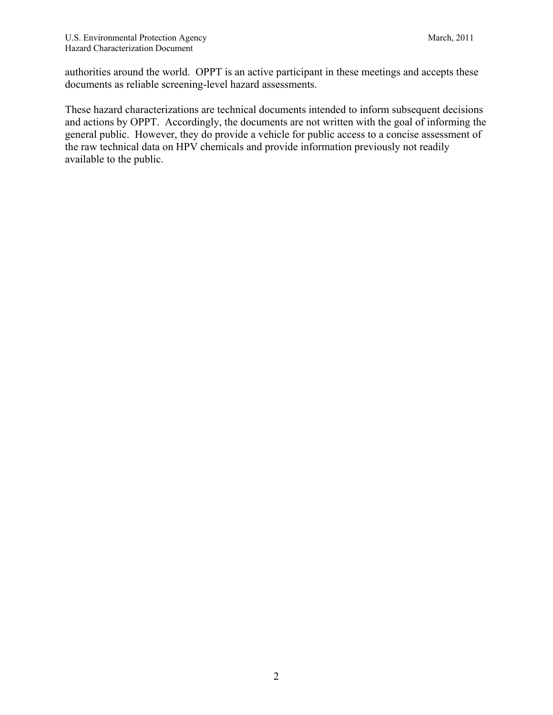authorities around the world. OPPT is an active participant in these meetings and accepts these documents as reliable screening-level hazard assessments.

These hazard characterizations are technical documents intended to inform subsequent decisions and actions by OPPT. Accordingly, the documents are not written with the goal of informing the general public. However, they do provide a vehicle for public access to a concise assessment of the raw technical data on HPV chemicals and provide information previously not readily available to the public.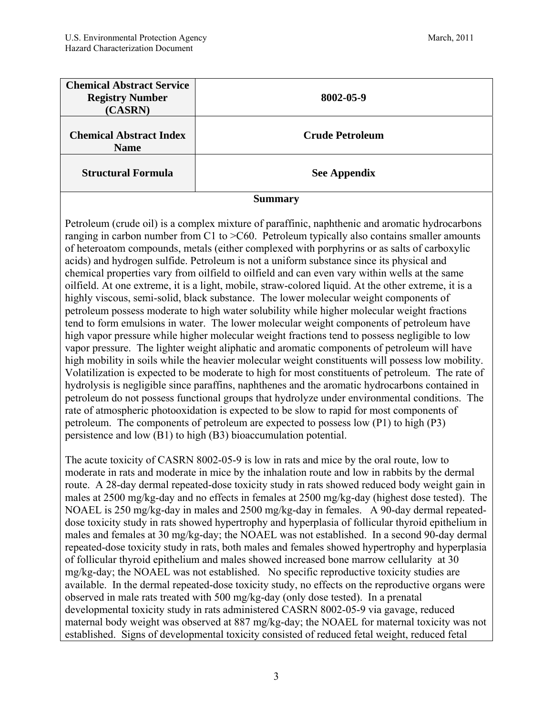| <b>Chemical Abstract Service</b><br><b>Registry Number</b><br>(CASRN) | 8002-05-9              |
|-----------------------------------------------------------------------|------------------------|
| <b>Chemical Abstract Index</b><br><b>Name</b>                         | <b>Crude Petroleum</b> |
| <b>Structural Formula</b>                                             | <b>See Appendix</b>    |

#### **Summary**

Petroleum (crude oil) is a complex mixture of paraffinic, naphthenic and aromatic hydrocarbons ranging in carbon number from C1 to >C60. Petroleum typically also contains smaller amounts of heteroatom compounds, metals (either complexed with porphyrins or as salts of carboxylic acids) and hydrogen sulfide. Petroleum is not a uniform substance since its physical and chemical properties vary from oilfield to oilfield and can even vary within wells at the same oilfield. At one extreme, it is a light, mobile, straw-colored liquid. At the other extreme, it is a highly viscous, semi-solid, black substance. The lower molecular weight components of petroleum possess moderate to high water solubility while higher molecular weight fractions tend to form emulsions in water. The lower molecular weight components of petroleum have high vapor pressure while higher molecular weight fractions tend to possess negligible to low vapor pressure. The lighter weight aliphatic and aromatic components of petroleum will have high mobility in soils while the heavier molecular weight constituents will possess low mobility. Volatilization is expected to be moderate to high for most constituents of petroleum. The rate of hydrolysis is negligible since paraffins, naphthenes and the aromatic hydrocarbons contained in petroleum do not possess functional groups that hydrolyze under environmental conditions. The rate of atmospheric photooxidation is expected to be slow to rapid for most components of petroleum. The components of petroleum are expected to possess low (P1) to high (P3) persistence and low (B1) to high (B3) bioaccumulation potential.

The acute toxicity of CASRN 8002-05-9 is low in rats and mice by the oral route, low to moderate in rats and moderate in mice by the inhalation route and low in rabbits by the dermal route. A 28-day dermal repeated-dose toxicity study in rats showed reduced body weight gain in males at 2500 mg/kg-day and no effects in females at 2500 mg/kg-day (highest dose tested). The NOAEL is 250 mg/kg-day in males and 2500 mg/kg-day in females. A 90-day dermal repeateddose toxicity study in rats showed hypertrophy and hyperplasia of follicular thyroid epithelium in males and females at 30 mg/kg-day; the NOAEL was not established. In a second 90-day dermal repeated-dose toxicity study in rats, both males and females showed hypertrophy and hyperplasia of follicular thyroid epithelium and males showed increased bone marrow cellularity at 30 mg/kg-day; the NOAEL was not established. No specific reproductive toxicity studies are available. In the dermal repeated-dose toxicity study, no effects on the reproductive organs were observed in male rats treated with 500 mg/kg-day (only dose tested). In a prenatal developmental toxicity study in rats administered CASRN 8002-05-9 via gavage, reduced maternal body weight was observed at 887 mg/kg-day; the NOAEL for maternal toxicity was not established. Signs of developmental toxicity consisted of reduced fetal weight, reduced fetal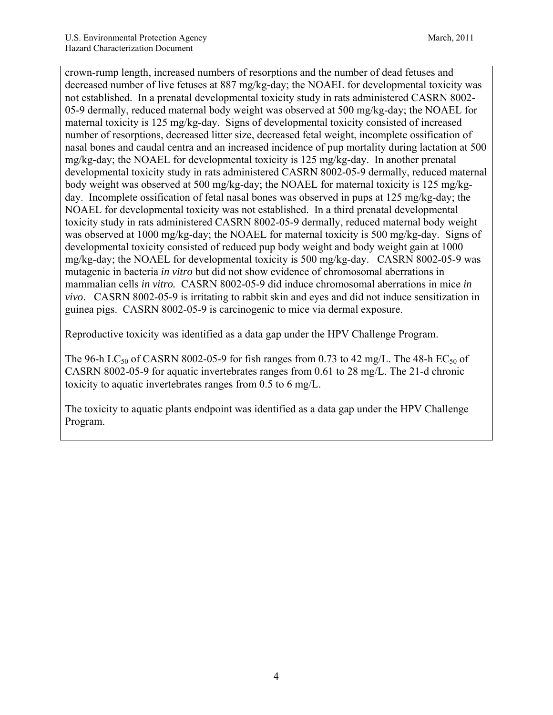crown-rump length, increased numbers of resorptions and the number of dead fetuses and decreased number of live fetuses at 887 mg/kg-day; the NOAEL for developmental toxicity was not established. In a prenatal developmental toxicity study in rats administered CASRN 8002- 05-9 dermally, reduced maternal body weight was observed at 500 mg/kg-day; the NOAEL for maternal toxicity is 125 mg/kg-day. Signs of developmental toxicity consisted of increased number of resorptions, decreased litter size, decreased fetal weight, incomplete ossification of nasal bones and caudal centra and an increased incidence of pup mortality during lactation at 500 mg/kg-day; the NOAEL for developmental toxicity is 125 mg/kg-day. In another prenatal developmental toxicity study in rats administered CASRN 8002-05-9 dermally, reduced maternal body weight was observed at 500 mg/kg-day; the NOAEL for maternal toxicity is 125 mg/kgday. Incomplete ossification of fetal nasal bones was observed in pups at 125 mg/kg-day; the NOAEL for developmental toxicity was not established. In a third prenatal developmental toxicity study in rats administered CASRN 8002-05-9 dermally, reduced maternal body weight was observed at 1000 mg/kg-day; the NOAEL for maternal toxicity is 500 mg/kg-day. Signs of developmental toxicity consisted of reduced pup body weight and body weight gain at 1000 mg/kg-day; the NOAEL for developmental toxicity is 500 mg/kg-day. CASRN 8002-05-9 was mutagenic in bacteria *in vitro* but did not show evidence of chromosomal aberrations in mammalian cells *in vitro.* CASRN 8002-05-9 did induce chromosomal aberrations in mice *in vivo*.CASRN 8002-05-9 is irritating to rabbit skin and eyes and did not induce sensitization in guinea pigs. CASRN 8002-05-9 is carcinogenic to mice via dermal exposure.

Reproductive toxicity was identified as a data gap under the HPV Challenge Program.

The 96-h LC<sub>50</sub> of CASRN 8002-05-9 for fish ranges from 0.73 to 42 mg/L. The 48-h EC<sub>50</sub> of CASRN 8002-05-9 for aquatic invertebrates ranges from 0.61 to 28 mg/L. The 21-d chronic toxicity to aquatic invertebrates ranges from 0.5 to 6 mg/L.

The toxicity to aquatic plants endpoint was identified as a data gap under the HPV Challenge Program.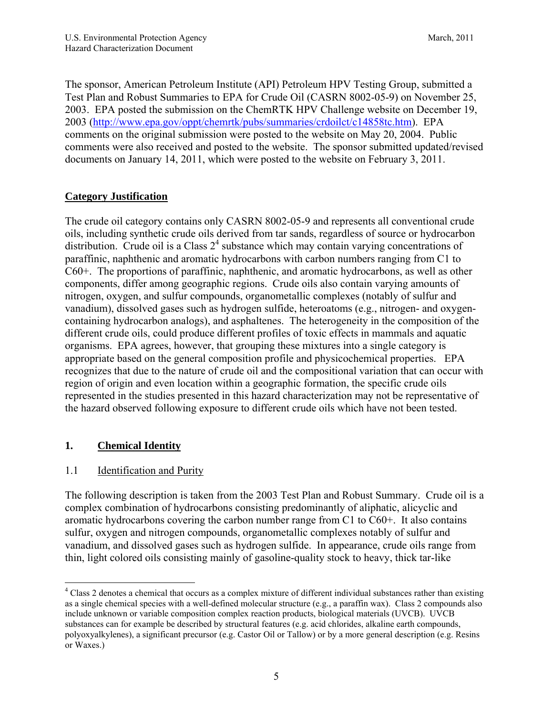The sponsor, American Petroleum Institute (API) Petroleum HPV Testing Group, submitted a Test Plan and Robust Summaries to EPA for Crude Oil (CASRN 8002-05-9) on November 25, 2003. EPA posted the submission on the ChemRTK HPV Challenge website on December 19, 2003 (http://www.epa.gov/oppt/chemrtk/pubs/summaries/crdoilct/c14858tc.htm). EPA comments on the original submission were posted to the website on May 20, 2004. Public comments were also received and posted to the website. The sponsor submitted updated/revised documents on January 14, 2011, which were posted to the website on February 3, 2011.

## **Category Justification**

The crude oil category contains only CASRN 8002-05-9 and represents all conventional crude oils, including synthetic crude oils derived from tar sands, regardless of source or hydrocarbon distribution. Crude oil is a Class  $2<sup>4</sup>$  substance which may contain varying concentrations of paraffinic, naphthenic and aromatic hydrocarbons with carbon numbers ranging from C1 to C60+. The proportions of paraffinic, naphthenic, and aromatic hydrocarbons, as well as other components, differ among geographic regions. Crude oils also contain varying amounts of nitrogen, oxygen, and sulfur compounds, organometallic complexes (notably of sulfur and vanadium), dissolved gases such as hydrogen sulfide, heteroatoms (e.g., nitrogen- and oxygencontaining hydrocarbon analogs), and asphaltenes. The heterogeneity in the composition of the different crude oils, could produce different profiles of toxic effects in mammals and aquatic organisms. EPA agrees, however, that grouping these mixtures into a single category is appropriate based on the general composition profile and physicochemical properties. EPA recognizes that due to the nature of crude oil and the compositional variation that can occur with region of origin and even location within a geographic formation, the specific crude oils represented in the studies presented in this hazard characterization may not be representative of the hazard observed following exposure to different crude oils which have not been tested.

## **1. Chemical Identity**

## 1.1 Identification and Purity

The following description is taken from the 2003 Test Plan and Robust Summary. Crude oil is a complex combination of hydrocarbons consisting predominantly of aliphatic, alicyclic and aromatic hydrocarbons covering the carbon number range from C1 to C60+. It also contains sulfur, oxygen and nitrogen compounds, organometallic complexes notably of sulfur and vanadium, and dissolved gases such as hydrogen sulfide. In appearance, crude oils range from thin, light colored oils consisting mainly of gasoline-quality stock to heavy, thick tar-like

 $\overline{a}$ <sup>4</sup> Class 2 denotes a chemical that occurs as a complex mixture of different individual substances rather than existing as a single chemical species with a well-defined molecular structure (e.g., a paraffin wax). Class 2 compounds also include unknown or variable composition complex reaction products, biological materials (UVCB). UVCB substances can for example be described by structural features (e.g. acid chlorides, alkaline earth compounds, polyoxyalkylenes), a significant precursor (e.g. Castor Oil or Tallow) or by a more general description (e.g. Resins or Waxes.)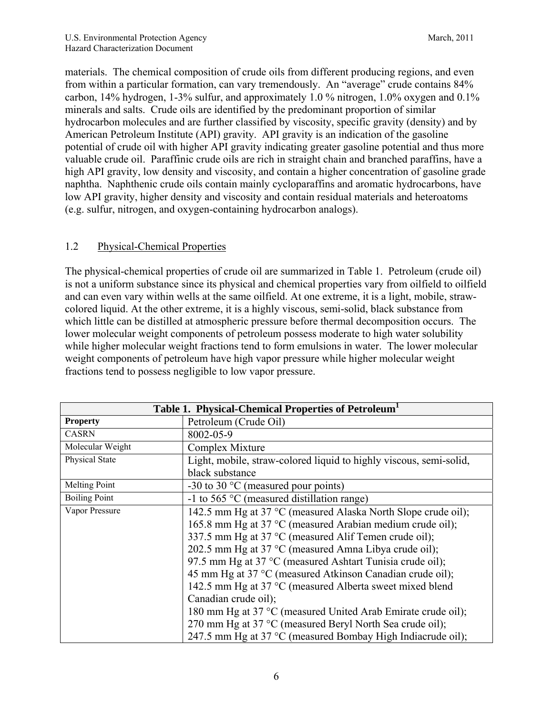materials. The chemical composition of crude oils from different producing regions, and even from within a particular formation, can vary tremendously. An "average" crude contains 84% carbon, 14% hydrogen, 1-3% sulfur, and approximately 1.0% nitrogen, 1.0% oxygen and  $0.1\%$ minerals and salts. Crude oils are identified by the predominant proportion of similar hydrocarbon molecules and are further classified by viscosity, specific gravity (density) and by American Petroleum Institute (API) gravity. API gravity is an indication of the gasoline potential of crude oil with higher API gravity indicating greater gasoline potential and thus more valuable crude oil. Paraffinic crude oils are rich in straight chain and branched paraffins, have a high API gravity, low density and viscosity, and contain a higher concentration of gasoline grade naphtha. Naphthenic crude oils contain mainly cycloparaffins and aromatic hydrocarbons, have low API gravity, higher density and viscosity and contain residual materials and heteroatoms (e.g. sulfur, nitrogen, and oxygen-containing hydrocarbon analogs).

## 1.2 Physical-Chemical Properties

The physical-chemical properties of crude oil are summarized in Table 1. Petroleum (crude oil) is not a uniform substance since its physical and chemical properties vary from oilfield to oilfield and can even vary within wells at the same oilfield. At one extreme, it is a light, mobile, strawcolored liquid. At the other extreme, it is a highly viscous, semi-solid, black substance from which little can be distilled at atmospheric pressure before thermal decomposition occurs. The lower molecular weight components of petroleum possess moderate to high water solubility while higher molecular weight fractions tend to form emulsions in water. The lower molecular weight components of petroleum have high vapor pressure while higher molecular weight fractions tend to possess negligible to low vapor pressure.

| Table 1. Physical-Chemical Properties of Petroleum <sup>1</sup> |                                                                    |  |  |  |  |
|-----------------------------------------------------------------|--------------------------------------------------------------------|--|--|--|--|
| <b>Property</b>                                                 | Petroleum (Crude Oil)                                              |  |  |  |  |
| <b>CASRN</b>                                                    | 8002-05-9                                                          |  |  |  |  |
| Molecular Weight                                                | Complex Mixture                                                    |  |  |  |  |
| Physical State                                                  | Light, mobile, straw-colored liquid to highly viscous, semi-solid, |  |  |  |  |
|                                                                 | black substance                                                    |  |  |  |  |
| Melting Point                                                   | -30 to 30 $\degree$ C (measured pour points)                       |  |  |  |  |
| <b>Boiling Point</b>                                            | -1 to 565 $\degree$ C (measured distillation range)                |  |  |  |  |
| Vapor Pressure                                                  | 142.5 mm Hg at 37 °C (measured Alaska North Slope crude oil);      |  |  |  |  |
|                                                                 | 165.8 mm Hg at 37 °C (measured Arabian medium crude oil);          |  |  |  |  |
|                                                                 | 337.5 mm Hg at 37 °C (measured Alif Temen crude oil);              |  |  |  |  |
|                                                                 | 202.5 mm Hg at 37 °C (measured Amna Libya crude oil);              |  |  |  |  |
|                                                                 | 97.5 mm Hg at 37 °C (measured Ashtart Tunisia crude oil);          |  |  |  |  |
|                                                                 | 45 mm Hg at 37 °C (measured Atkinson Canadian crude oil);          |  |  |  |  |
|                                                                 | 142.5 mm Hg at 37 °C (measured Alberta sweet mixed blend           |  |  |  |  |
|                                                                 | Canadian crude oil);                                               |  |  |  |  |
|                                                                 | 180 mm Hg at 37 °C (measured United Arab Emirate crude oil);       |  |  |  |  |
|                                                                 | 270 mm Hg at 37 °C (measured Beryl North Sea crude oil);           |  |  |  |  |
|                                                                 | 247.5 mm Hg at 37 °C (measured Bombay High Indiacrude oil);        |  |  |  |  |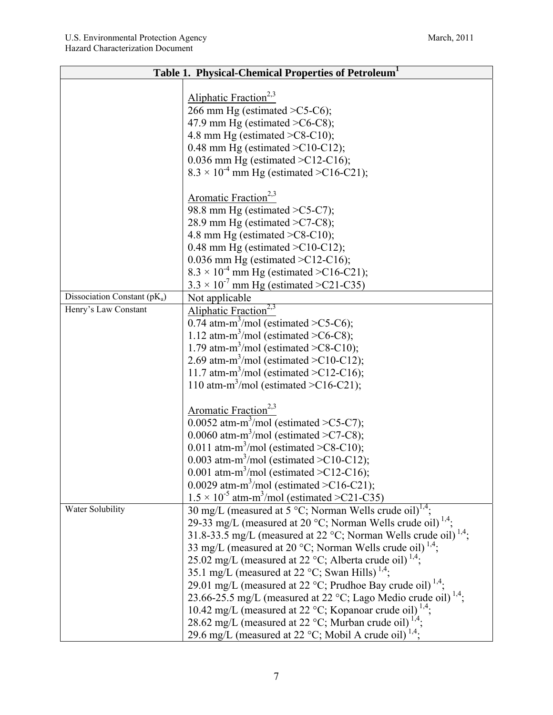| Table 1. Physical-Chemical Properties of Petroleum <sup>1</sup> |                                                                             |  |  |  |  |
|-----------------------------------------------------------------|-----------------------------------------------------------------------------|--|--|--|--|
|                                                                 |                                                                             |  |  |  |  |
|                                                                 | Aliphatic Fraction <sup>2,3</sup>                                           |  |  |  |  |
|                                                                 | 266 mm Hg (estimated $\geq$ C5-C6);                                         |  |  |  |  |
|                                                                 | 47.9 mm Hg (estimated $\geq$ C6-C8);                                        |  |  |  |  |
|                                                                 | 4.8 mm Hg (estimated $\geq$ C8-C10);                                        |  |  |  |  |
|                                                                 | 0.48 mm Hg (estimated $\geq$ C10-C12);                                      |  |  |  |  |
|                                                                 | 0.036 mm Hg (estimated $\geq$ C12-C16);                                     |  |  |  |  |
|                                                                 | $8.3 \times 10^{-4}$ mm Hg (estimated >C16-C21);                            |  |  |  |  |
|                                                                 | Aromatic Fraction <sup>2,3</sup>                                            |  |  |  |  |
|                                                                 | 98.8 mm Hg (estimated $\geq$ C5-C7);                                        |  |  |  |  |
|                                                                 | 28.9 mm Hg (estimated $\geq$ C7-C8);                                        |  |  |  |  |
|                                                                 | 4.8 mm Hg (estimated $\geq$ C8-C10);                                        |  |  |  |  |
|                                                                 | 0.48 mm Hg (estimated $\geq$ C10-C12);                                      |  |  |  |  |
|                                                                 | 0.036 mm Hg (estimated $\geq$ C12-C16);                                     |  |  |  |  |
|                                                                 | $8.3 \times 10^{-4}$ mm Hg (estimated >C16-C21);                            |  |  |  |  |
|                                                                 | $3.3 \times 10^{-7}$ mm Hg (estimated >C21-C35)                             |  |  |  |  |
| Dissociation Constant (pK <sub>a</sub> )                        | Not applicable                                                              |  |  |  |  |
| Henry's Law Constant                                            | Aliphatic Fraction <sup>2,3</sup>                                           |  |  |  |  |
|                                                                 | 0.74 atm-m <sup>3</sup> /mol (estimated $\geq$ C5-C6);                      |  |  |  |  |
|                                                                 | 1.12 atm-m <sup>3</sup> /mol (estimated $\geq$ C6-C8);                      |  |  |  |  |
|                                                                 | 1.79 atm-m <sup>3</sup> /mol (estimated $\geq$ C8-C10);                     |  |  |  |  |
|                                                                 | 2.69 atm-m <sup>3</sup> /mol (estimated $\geq$ C10-C12);                    |  |  |  |  |
|                                                                 | 11.7 atm-m <sup>3</sup> /mol (estimated $\geq$ C12-C16);                    |  |  |  |  |
|                                                                 | 110 atm-m <sup>3</sup> /mol (estimated $\geq$ C16-C21);                     |  |  |  |  |
|                                                                 |                                                                             |  |  |  |  |
|                                                                 | Aromatic Fraction <sup>2,3</sup>                                            |  |  |  |  |
|                                                                 | 0.0052 atm-m <sup>3</sup> /mol (estimated $\geq$ C5-C7);                    |  |  |  |  |
|                                                                 | 0.0060 atm-m <sup>3</sup> /mol (estimated $\geq$ C7-C8);                    |  |  |  |  |
|                                                                 | 0.011 atm-m <sup>3</sup> /mol (estimated $\geq$ C8-C10);                    |  |  |  |  |
|                                                                 | 0.003 atm-m <sup>3</sup> /mol (estimated $\geq$ C10-C12);                   |  |  |  |  |
|                                                                 | 0.001 atm-m <sup>3</sup> /mol (estimated $\geq$ C12-C16);                   |  |  |  |  |
|                                                                 | 0.0029 atm-m <sup>3</sup> /mol (estimated $\geq$ C16-C21);                  |  |  |  |  |
|                                                                 | $1.5 \times 10^{-5}$ atm-m <sup>3</sup> /mol (estimated >C21-C35)           |  |  |  |  |
| Water Solubility                                                | 30 mg/L (measured at 5 °C; Norman Wells crude oil) <sup>1,4</sup> ;         |  |  |  |  |
|                                                                 | 29-33 mg/L (measured at 20 °C; Norman Wells crude oil) <sup>1,4</sup> ;     |  |  |  |  |
|                                                                 | 31.8-33.5 mg/L (measured at 22 °C; Norman Wells crude oil) <sup>1,4</sup> ; |  |  |  |  |
|                                                                 | 33 mg/L (measured at 20 °C; Norman Wells crude oil) <sup>1,4</sup> ;        |  |  |  |  |
|                                                                 | 25.02 mg/L (measured at 22 °C; Alberta crude oil) <sup>1,4</sup> ;          |  |  |  |  |
|                                                                 | 35.1 mg/L (measured at 22 °C; Swan Hills) <sup>1,4</sup> ;                  |  |  |  |  |
|                                                                 | 29.01 mg/L (measured at 22 °C; Prudhoe Bay crude oil) <sup>1,4</sup> ;      |  |  |  |  |
|                                                                 | 23.66-25.5 mg/L (measured at 22 °C; Lago Medio crude oil) <sup>1,4</sup> ;  |  |  |  |  |
|                                                                 | 10.42 mg/L (measured at 22 °C; Kopanoar crude oil) <sup>1,4</sup> ;         |  |  |  |  |
|                                                                 | 28.62 mg/L (measured at 22 °C; Murban crude oil) <sup>1,4</sup> ;           |  |  |  |  |
|                                                                 | 29.6 mg/L (measured at 22 °C; Mobil A crude oil) <sup>1,4</sup> ;           |  |  |  |  |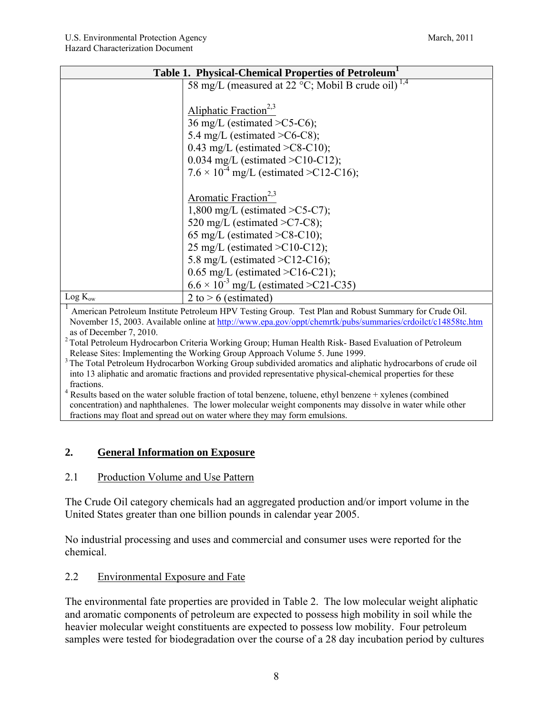| Table 1. Physical-Chemical Properties of Petroleum <sup>1</sup> |                                                                                                                                                                                                                                                                                                                                                                                                                                                                                                                                                                                                                                      |  |  |
|-----------------------------------------------------------------|--------------------------------------------------------------------------------------------------------------------------------------------------------------------------------------------------------------------------------------------------------------------------------------------------------------------------------------------------------------------------------------------------------------------------------------------------------------------------------------------------------------------------------------------------------------------------------------------------------------------------------------|--|--|
|                                                                 | 58 mg/L (measured at 22 °C; Mobil B crude oil) <sup>1,4</sup>                                                                                                                                                                                                                                                                                                                                                                                                                                                                                                                                                                        |  |  |
|                                                                 |                                                                                                                                                                                                                                                                                                                                                                                                                                                                                                                                                                                                                                      |  |  |
|                                                                 | Aliphatic Fraction <sup>2,3</sup>                                                                                                                                                                                                                                                                                                                                                                                                                                                                                                                                                                                                    |  |  |
|                                                                 | 36 mg/L (estimated $\geq$ C5-C6);                                                                                                                                                                                                                                                                                                                                                                                                                                                                                                                                                                                                    |  |  |
|                                                                 | 5.4 mg/L (estimated $\geq$ C6-C8);                                                                                                                                                                                                                                                                                                                                                                                                                                                                                                                                                                                                   |  |  |
|                                                                 | 0.43 mg/L (estimated $\geq$ C8-C10);                                                                                                                                                                                                                                                                                                                                                                                                                                                                                                                                                                                                 |  |  |
|                                                                 | 0.034 mg/L (estimated $\geq$ C10-C12);                                                                                                                                                                                                                                                                                                                                                                                                                                                                                                                                                                                               |  |  |
|                                                                 | $7.6 \times 10^{-4}$ mg/L (estimated >C12-C16);                                                                                                                                                                                                                                                                                                                                                                                                                                                                                                                                                                                      |  |  |
|                                                                 |                                                                                                                                                                                                                                                                                                                                                                                                                                                                                                                                                                                                                                      |  |  |
|                                                                 | Aromatic Fraction <sup>2,3</sup>                                                                                                                                                                                                                                                                                                                                                                                                                                                                                                                                                                                                     |  |  |
|                                                                 | 1,800 mg/L (estimated $\geq$ C5-C7);                                                                                                                                                                                                                                                                                                                                                                                                                                                                                                                                                                                                 |  |  |
|                                                                 | 520 mg/L (estimated $\geq$ C7-C8);                                                                                                                                                                                                                                                                                                                                                                                                                                                                                                                                                                                                   |  |  |
|                                                                 | 65 mg/L (estimated $\geq$ C8-C10);                                                                                                                                                                                                                                                                                                                                                                                                                                                                                                                                                                                                   |  |  |
|                                                                 | 25 mg/L (estimated $\geq$ C10-C12);                                                                                                                                                                                                                                                                                                                                                                                                                                                                                                                                                                                                  |  |  |
|                                                                 | 5.8 mg/L (estimated $\geq$ C12-C16);                                                                                                                                                                                                                                                                                                                                                                                                                                                                                                                                                                                                 |  |  |
|                                                                 | 0.65 mg/L (estimated $\geq$ C16-C21);                                                                                                                                                                                                                                                                                                                                                                                                                                                                                                                                                                                                |  |  |
|                                                                 | $6.6 \times 10^{-3}$ mg/L (estimated >C21-C35)                                                                                                                                                                                                                                                                                                                                                                                                                                                                                                                                                                                       |  |  |
| $Log K_{ow}$                                                    | 2 to $> 6$ (estimated)                                                                                                                                                                                                                                                                                                                                                                                                                                                                                                                                                                                                               |  |  |
|                                                                 | $\mathbf{A}$ $\mathbf{A}$ $\mathbf{B}$ $\mathbf{A}$ $\mathbf{B}$ $\mathbf{A}$ $\mathbf{B}$ $\mathbf{A}$ $\mathbf{B}$ $\mathbf{A}$ $\mathbf{B}$ $\mathbf{B}$ $\mathbf{B}$ $\mathbf{C}$ $\mathbf{B}$ $\mathbf{C}$ $\mathbf{B}$ $\mathbf{C}$ $\mathbf{C}$ $\mathbf{C}$ $\mathbf{C}$ $\mathbf{C}$ $\mathbf{D}$ $\mathbf{C}$ $\mathbf{$<br>$T \cup M$ 1 $\cup$ 1 $\cup$ 1 $\cup$ 1 $\cup$ 1 $\cup$ 1 $\cup$ 1 $\cup$ 1 $\cup$ 1 $\cup$ 1 $\cup$ 1 $\cup$ 1 $\cup$ 1 $\cup$ 1 $\cup$ 1 $\cup$ 1 $\cup$ 1 $\cup$ 1 $\cup$ 1 $\cup$ 1 $\cup$ 1 $\cup$ 1 $\cup$ 1 $\cup$ 1 $\cup$ 1 $\cup$ 1 $\cup$ 1 $\cup$ 1 $\cup$ 1 $\cup$ 1 $\cup$ 1 $\$ |  |  |

<sup>1</sup> American Petroleum Institute Petroleum HPV Testing Group. Test Plan and Robust Summary for Crude Oil. November 15, 2003. Available online at http://www.epa.gov/oppt/chemrtk/pubs/summaries/crdoilct/c14858tc.htm as of December 7, 2010.

<sup>2</sup> Total Petroleum Hydrocarbon Criteria Working Group; Human Health Risk- Based Evaluation of Petroleum Release Sites: Implementing the Working Group Approach Volume 5. June 1999.

<sup>3</sup> The Total Petroleum Hydrocarbon Working Group subdivided aromatics and aliphatic hydrocarbons of crude oil into 13 aliphatic and aromatic fractions and provided representative physical-chemical properties for these fractions.

<sup>4</sup> Results based on the water soluble fraction of total benzene, toluene, ethyl benzene + xylenes (combined concentration) and naphthalenes. The lower molecular weight components may dissolve in water while other fractions may float and spread out on water where they may form emulsions.

## **2. General Information on Exposure**

## 2.1 Production Volume and Use Pattern

The Crude Oil category chemicals had an aggregated production and/or import volume in the United States greater than one billion pounds in calendar year 2005.

No industrial processing and uses and commercial and consumer uses were reported for the chemical.

## 2.2 Environmental Exposure and Fate

The environmental fate properties are provided in Table 2. The low molecular weight aliphatic and aromatic components of petroleum are expected to possess high mobility in soil while the heavier molecular weight constituents are expected to possess low mobility. Four petroleum samples were tested for biodegradation over the course of a 28 day incubation period by cultures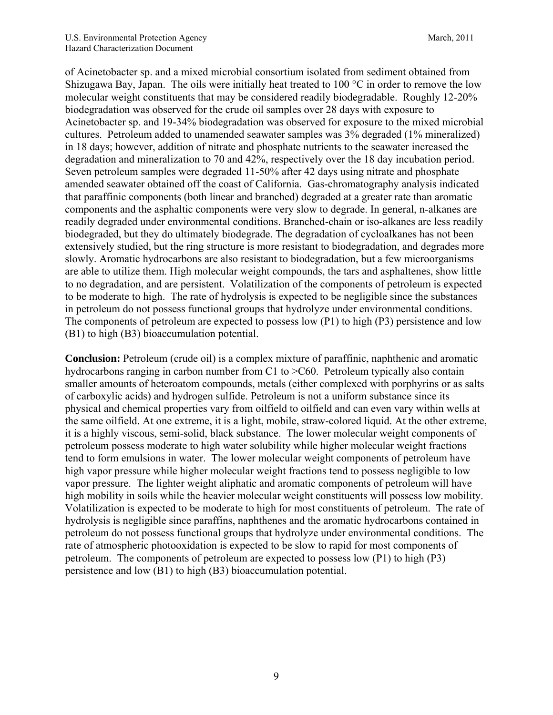of Acinetobacter sp. and a mixed microbial consortium isolated from sediment obtained from Shizugawa Bay, Japan. The oils were initially heat treated to 100 °C in order to remove the low molecular weight constituents that may be considered readily biodegradable. Roughly 12-20% biodegradation was observed for the crude oil samples over 28 days with exposure to Acinetobacter sp. and 19-34% biodegradation was observed for exposure to the mixed microbial cultures. Petroleum added to unamended seawater samples was 3% degraded (1% mineralized) in 18 days; however, addition of nitrate and phosphate nutrients to the seawater increased the degradation and mineralization to 70 and 42%, respectively over the 18 day incubation period. Seven petroleum samples were degraded 11-50% after 42 days using nitrate and phosphate amended seawater obtained off the coast of California. Gas-chromatography analysis indicated that paraffinic components (both linear and branched) degraded at a greater rate than aromatic components and the asphaltic components were very slow to degrade. In general, n-alkanes are readily degraded under environmental conditions. Branched-chain or iso-alkanes are less readily biodegraded, but they do ultimately biodegrade. The degradation of cycloalkanes has not been extensively studied, but the ring structure is more resistant to biodegradation, and degrades more slowly. Aromatic hydrocarbons are also resistant to biodegradation, but a few microorganisms are able to utilize them. High molecular weight compounds, the tars and asphaltenes, show little to no degradation, and are persistent. Volatilization of the components of petroleum is expected to be moderate to high. The rate of hydrolysis is expected to be negligible since the substances in petroleum do not possess functional groups that hydrolyze under environmental conditions. The components of petroleum are expected to possess low (P1) to high (P3) persistence and low (B1) to high (B3) bioaccumulation potential.

**Conclusion:** Petroleum (crude oil) is a complex mixture of paraffinic, naphthenic and aromatic hydrocarbons ranging in carbon number from C1 to  $\geq$ C60. Petroleum typically also contain smaller amounts of heteroatom compounds, metals (either complexed with porphyrins or as salts of carboxylic acids) and hydrogen sulfide. Petroleum is not a uniform substance since its physical and chemical properties vary from oilfield to oilfield and can even vary within wells at the same oilfield. At one extreme, it is a light, mobile, straw-colored liquid. At the other extreme, it is a highly viscous, semi-solid, black substance. The lower molecular weight components of petroleum possess moderate to high water solubility while higher molecular weight fractions tend to form emulsions in water. The lower molecular weight components of petroleum have high vapor pressure while higher molecular weight fractions tend to possess negligible to low vapor pressure. The lighter weight aliphatic and aromatic components of petroleum will have high mobility in soils while the heavier molecular weight constituents will possess low mobility. Volatilization is expected to be moderate to high for most constituents of petroleum. The rate of hydrolysis is negligible since paraffins, naphthenes and the aromatic hydrocarbons contained in petroleum do not possess functional groups that hydrolyze under environmental conditions. The rate of atmospheric photooxidation is expected to be slow to rapid for most components of petroleum. The components of petroleum are expected to possess low (P1) to high (P3) persistence and low (B1) to high (B3) bioaccumulation potential.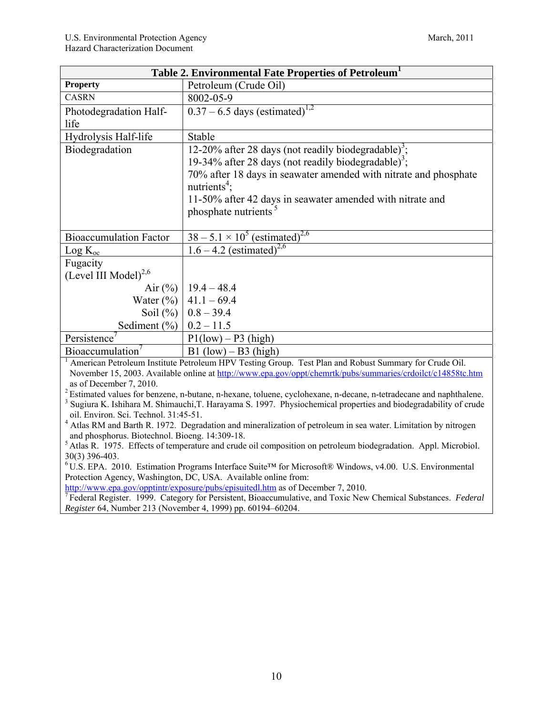| Table 2. Environmental Fate Properties of Petroleum <sup>1</sup>                                                                                                                                              |                                                                                                                                                                                                                      |  |  |
|---------------------------------------------------------------------------------------------------------------------------------------------------------------------------------------------------------------|----------------------------------------------------------------------------------------------------------------------------------------------------------------------------------------------------------------------|--|--|
| <b>Property</b>                                                                                                                                                                                               | Petroleum (Crude Oil)                                                                                                                                                                                                |  |  |
| <b>CASRN</b>                                                                                                                                                                                                  | 8002-05-9                                                                                                                                                                                                            |  |  |
| Photodegradation Half-                                                                                                                                                                                        | $0.37 - 6.5$ days (estimated) <sup>1,2</sup>                                                                                                                                                                         |  |  |
| life                                                                                                                                                                                                          |                                                                                                                                                                                                                      |  |  |
| Hydrolysis Half-life                                                                                                                                                                                          | Stable                                                                                                                                                                                                               |  |  |
| Biodegradation                                                                                                                                                                                                | 12-20% after 28 days (not readily biodegradable) <sup>3</sup> ;                                                                                                                                                      |  |  |
|                                                                                                                                                                                                               | 19-34% after 28 days (not readily biodegradable) <sup>3</sup> ;                                                                                                                                                      |  |  |
|                                                                                                                                                                                                               | 70% after 18 days in seawater amended with nitrate and phosphate                                                                                                                                                     |  |  |
|                                                                                                                                                                                                               | nutrients <sup>4</sup> :                                                                                                                                                                                             |  |  |
|                                                                                                                                                                                                               | 11-50% after 42 days in seawater amended with nitrate and                                                                                                                                                            |  |  |
|                                                                                                                                                                                                               | phosphate nutrients <sup>5</sup>                                                                                                                                                                                     |  |  |
|                                                                                                                                                                                                               |                                                                                                                                                                                                                      |  |  |
| <b>Bioaccumulation Factor</b>                                                                                                                                                                                 | $38 - 5.1 \times 10^5$ (estimated) <sup>2,6</sup>                                                                                                                                                                    |  |  |
| $Log K_{oc}$                                                                                                                                                                                                  | $1.6 - 4.2$ (estimated) <sup>2,6</sup>                                                                                                                                                                               |  |  |
| Fugacity                                                                                                                                                                                                      |                                                                                                                                                                                                                      |  |  |
| (Level III Model) $^{2,6}$                                                                                                                                                                                    |                                                                                                                                                                                                                      |  |  |
| Air $(\%)$                                                                                                                                                                                                    | $19.4 - 48.4$                                                                                                                                                                                                        |  |  |
| Water $(\%)$                                                                                                                                                                                                  | $41.1 - 69.4$                                                                                                                                                                                                        |  |  |
| Soil $(\%)$                                                                                                                                                                                                   | $0.8 - 39.4$                                                                                                                                                                                                         |  |  |
| Sediment $(\% )$                                                                                                                                                                                              | $0.2 - 11.5$                                                                                                                                                                                                         |  |  |
| Persistence                                                                                                                                                                                                   | $P1(low) - P3(high)$                                                                                                                                                                                                 |  |  |
| Bioaccumulation'                                                                                                                                                                                              | $B1$ (low) – B3 (high)                                                                                                                                                                                               |  |  |
|                                                                                                                                                                                                               | American Petroleum Institute Petroleum HPV Testing Group. Test Plan and Robust Summary for Crude Oil.<br>November 15, 2003. Available online at http://www.epa.gov/oppt/chemrtk/pubs/summaries/crdoilct/c14858tc.htm |  |  |
| as of December 7, 2010.                                                                                                                                                                                       |                                                                                                                                                                                                                      |  |  |
|                                                                                                                                                                                                               | <sup>2</sup> Estimated values for benzene, n-butane, n-hexane, toluene, cyclohexane, n-decane, n-tetradecane and naphthalene.                                                                                        |  |  |
|                                                                                                                                                                                                               | Sugiura K. Ishihara M. Shimauchi, T. Harayama S. 1997. Physiochemical properties and biodegradability of crude                                                                                                       |  |  |
| oil. Environ. Sci. Technol. 31:45-51.                                                                                                                                                                         |                                                                                                                                                                                                                      |  |  |
| <sup>4</sup> Atlas RM and Barth R. 1972. Degradation and mineralization of petroleum in sea water. Limitation by nitrogen<br>and phosphorus. Biotechnol. Bioeng. 14:309-18.                                   |                                                                                                                                                                                                                      |  |  |
| <sup>5</sup> Atlas R. 1975. Effects of temperature and crude oil composition on petroleum biodegradation. Appl. Microbiol.                                                                                    |                                                                                                                                                                                                                      |  |  |
| 30(3) 396-403.                                                                                                                                                                                                |                                                                                                                                                                                                                      |  |  |
| ${}^6$ U.S. EPA. 2010. Estimation Programs Interface Suite <sup>TM</sup> for Microsoft® Windows, v4.00. U.S. Environmental                                                                                    |                                                                                                                                                                                                                      |  |  |
| Protection Agency, Washington, DC, USA. Available online from:                                                                                                                                                |                                                                                                                                                                                                                      |  |  |
| http://www.epa.gov/opptintr/exposure/pubs/episuitedl.htm as of December 7, 2010.<br><sup>7</sup> Federal Register. 1999. Category for Persistent, Bioaccumulative, and Toxic New Chemical Substances. Federal |                                                                                                                                                                                                                      |  |  |
| Register 64, Number 213 (November 4, 1999) pp. 60194-60204.                                                                                                                                                   |                                                                                                                                                                                                                      |  |  |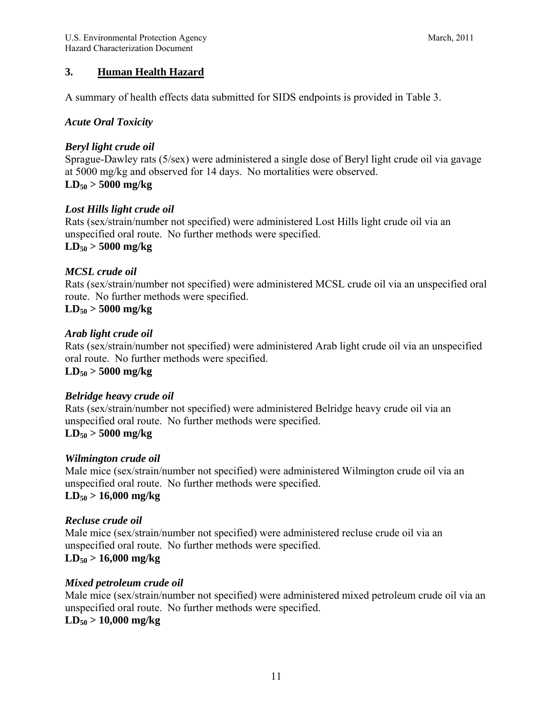## **3. Human Health Hazard**

A summary of health effects data submitted for SIDS endpoints is provided in Table 3.

#### *Acute Oral Toxicity*

#### *Beryl light crude oil*

Sprague-Dawley rats (5/sex) were administered a single dose of Beryl light crude oil via gavage at 5000 mg/kg and observed for 14 days. No mortalities were observed. **LD50 > 5000 mg/kg** 

#### *Lost Hills light crude oil*

Rats (sex/strain/number not specified) were administered Lost Hills light crude oil via an unspecified oral route. No further methods were specified. **LD50 > 5000 mg/kg** 

#### *MCSL crude oil*

Rats (sex/strain/number not specified) were administered MCSL crude oil via an unspecified oral route. No further methods were specified.

## **LD50 > 5000 mg/kg**

#### *Arab light crude oil*

Rats (sex/strain/number not specified) were administered Arab light crude oil via an unspecified oral route. No further methods were specified.

#### **LD50 > 5000 mg/kg**

#### *Belridge heavy crude oil*

Rats (sex/strain/number not specified) were administered Belridge heavy crude oil via an unspecified oral route. No further methods were specified. **LD50 > 5000 mg/kg** 

#### *Wilmington crude oil*

Male mice (sex/strain/number not specified) were administered Wilmington crude oil via an unspecified oral route. No further methods were specified. **LD50 > 16,000 mg/kg** 

#### *Recluse crude oil*

Male mice (sex/strain/number not specified) were administered recluse crude oil via an unspecified oral route. No further methods were specified.

# **LD50 > 16,000 mg/kg**

#### *Mixed petroleum crude oil*

Male mice (sex/strain/number not specified) were administered mixed petroleum crude oil via an unspecified oral route. No further methods were specified. **LD50 > 10,000 mg/kg**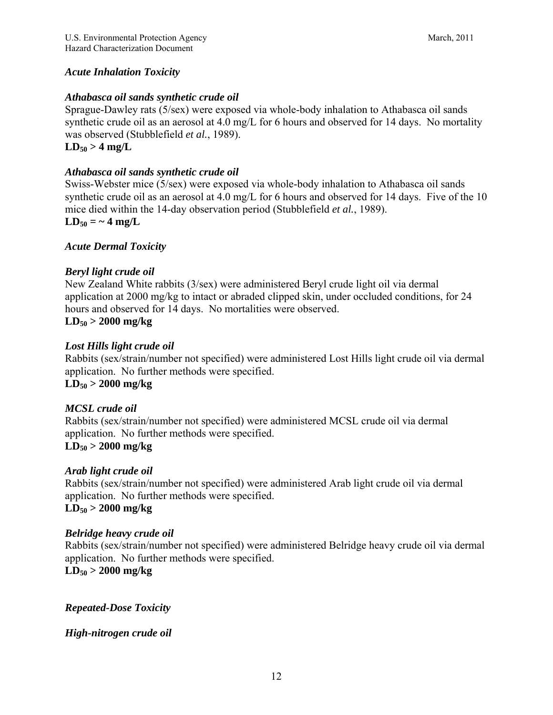## *Acute Inhalation Toxicity*

#### *Athabasca oil sands synthetic crude oil*

Sprague-Dawley rats (5/sex) were exposed via whole-body inhalation to Athabasca oil sands synthetic crude oil as an aerosol at 4.0 mg/L for 6 hours and observed for 14 days. No mortality was observed (Stubblefield *et al.*, 1989).

## $LD_{50} > 4$  mg/L

#### *Athabasca oil sands synthetic crude oil*

Swiss-Webster mice (5/sex) were exposed via whole-body inhalation to Athabasca oil sands synthetic crude oil as an aerosol at 4.0 mg/L for 6 hours and observed for 14 days. Five of the 10 mice died within the 14-day observation period (Stubblefield *et al.*, 1989).

#### $LD_{50} = -4$  mg/L

#### *Acute Dermal Toxicity*

#### *Beryl light crude oil*

New Zealand White rabbits (3/sex) were administered Beryl crude light oil via dermal application at 2000 mg/kg to intact or abraded clipped skin, under occluded conditions, for 24 hours and observed for 14 days. No mortalities were observed.

#### **LD50 > 2000 mg/kg**

#### *Lost Hills light crude oil*

Rabbits (sex/strain/number not specified) were administered Lost Hills light crude oil via dermal application. No further methods were specified. **LD50 > 2000 mg/kg** 

#### *MCSL crude oil*

Rabbits (sex/strain/number not specified) were administered MCSL crude oil via dermal application. No further methods were specified.

## **LD50 > 2000 mg/kg**

#### *Arab light crude oil*

Rabbits (sex/strain/number not specified) were administered Arab light crude oil via dermal application. No further methods were specified. **LD50 > 2000 mg/kg** 

#### *Belridge heavy crude oil*

Rabbits (sex/strain/number not specified) were administered Belridge heavy crude oil via dermal application. No further methods were specified.

#### **LD50 > 2000 mg/kg**

#### *Repeated-Dose Toxicity*

#### *High-nitrogen crude oil*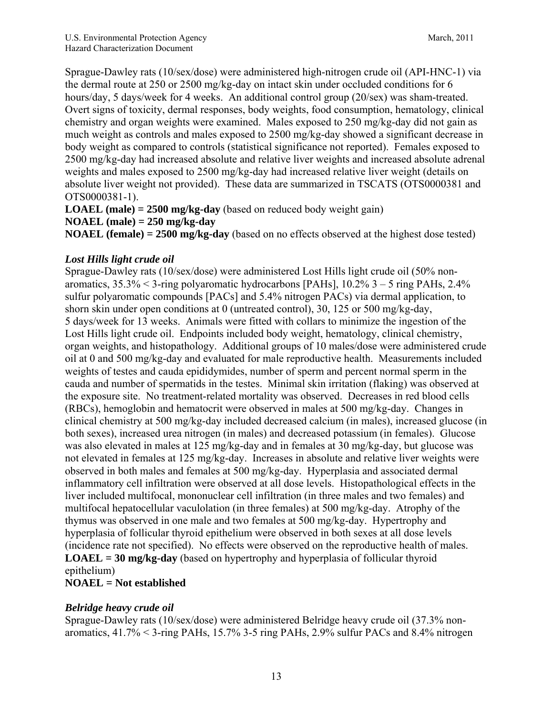Sprague-Dawley rats (10/sex/dose) were administered high-nitrogen crude oil (API-HNC-1) via the dermal route at 250 or 2500 mg/kg-day on intact skin under occluded conditions for 6 hours/day, 5 days/week for 4 weeks. An additional control group (20/sex) was sham-treated. Overt signs of toxicity, dermal responses, body weights, food consumption, hematology, clinical chemistry and organ weights were examined. Males exposed to 250 mg/kg-day did not gain as much weight as controls and males exposed to 2500 mg/kg-day showed a significant decrease in body weight as compared to controls (statistical significance not reported). Females exposed to 2500 mg/kg-day had increased absolute and relative liver weights and increased absolute adrenal weights and males exposed to 2500 mg/kg-day had increased relative liver weight (details on absolute liver weight not provided). These data are summarized in TSCATS (OTS0000381 and OTS0000381-1).

**LOAEL (male) = 2500 mg/kg-day** (based on reduced body weight gain)

#### **NOAEL (male) = 250 mg/kg-day**

**NOAEL (female) = 2500 mg/kg-day** (based on no effects observed at the highest dose tested)

## *Lost Hills light crude oil*

Sprague-Dawley rats (10/sex/dose) were administered Lost Hills light crude oil (50% nonaromatics,  $35.3\% < 3$ -ring polyaromatic hydrocarbons [PAHs],  $10.2\%$  3 – 5 ring PAHs,  $2.4\%$ sulfur polyaromatic compounds [PACs] and 5.4% nitrogen PACs) via dermal application, to shorn skin under open conditions at 0 (untreated control), 30, 125 or 500 mg/kg-day, 5 days/week for 13 weeks. Animals were fitted with collars to minimize the ingestion of the Lost Hills light crude oil. Endpoints included body weight, hematology, clinical chemistry, organ weights, and histopathology. Additional groups of 10 males/dose were administered crude oil at 0 and 500 mg/kg-day and evaluated for male reproductive health. Measurements included weights of testes and cauda epididymides, number of sperm and percent normal sperm in the cauda and number of spermatids in the testes. Minimal skin irritation (flaking) was observed at the exposure site. No treatment-related mortality was observed. Decreases in red blood cells (RBCs), hemoglobin and hematocrit were observed in males at 500 mg/kg-day. Changes in clinical chemistry at 500 mg/kg-day included decreased calcium (in males), increased glucose (in both sexes), increased urea nitrogen (in males) and decreased potassium (in females). Glucose was also elevated in males at 125 mg/kg-day and in females at 30 mg/kg-day, but glucose was not elevated in females at 125 mg/kg-day. Increases in absolute and relative liver weights were observed in both males and females at 500 mg/kg-day. Hyperplasia and associated dermal inflammatory cell infiltration were observed at all dose levels. Histopathological effects in the liver included multifocal, mononuclear cell infiltration (in three males and two females) and multifocal hepatocellular vaculolation (in three females) at 500 mg/kg-day. Atrophy of the thymus was observed in one male and two females at 500 mg/kg-day. Hypertrophy and hyperplasia of follicular thyroid epithelium were observed in both sexes at all dose levels (incidence rate not specified). No effects were observed on the reproductive health of males. **LOAEL = 30 mg/kg-day** (based on hypertrophy and hyperplasia of follicular thyroid epithelium)

## **NOAEL = Not established**

## *Belridge heavy crude oil*

Sprague-Dawley rats (10/sex/dose) were administered Belridge heavy crude oil (37.3% nonaromatics, 41.7% < 3-ring PAHs, 15.7% 3-5 ring PAHs, 2.9% sulfur PACs and 8.4% nitrogen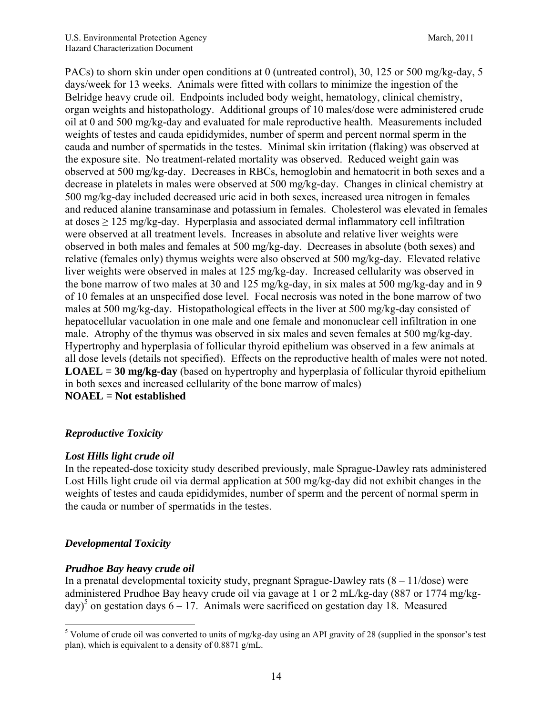PACs) to shorn skin under open conditions at 0 (untreated control), 30, 125 or 500 mg/kg-day, 5 days/week for 13 weeks. Animals were fitted with collars to minimize the ingestion of the Belridge heavy crude oil. Endpoints included body weight, hematology, clinical chemistry, organ weights and histopathology. Additional groups of 10 males/dose were administered crude oil at 0 and 500 mg/kg-day and evaluated for male reproductive health. Measurements included weights of testes and cauda epididymides, number of sperm and percent normal sperm in the cauda and number of spermatids in the testes. Minimal skin irritation (flaking) was observed at the exposure site. No treatment-related mortality was observed. Reduced weight gain was observed at 500 mg/kg-day. Decreases in RBCs, hemoglobin and hematocrit in both sexes and a decrease in platelets in males were observed at 500 mg/kg-day. Changes in clinical chemistry at 500 mg/kg-day included decreased uric acid in both sexes, increased urea nitrogen in females and reduced alanine transaminase and potassium in females. Cholesterol was elevated in females at doses  $\geq$  125 mg/kg-day. Hyperplasia and associated dermal inflammatory cell infiltration were observed at all treatment levels. Increases in absolute and relative liver weights were observed in both males and females at 500 mg/kg-day. Decreases in absolute (both sexes) and relative (females only) thymus weights were also observed at 500 mg/kg-day. Elevated relative liver weights were observed in males at 125 mg/kg-day. Increased cellularity was observed in the bone marrow of two males at 30 and 125 mg/kg-day, in six males at 500 mg/kg-day and in 9 of 10 females at an unspecified dose level. Focal necrosis was noted in the bone marrow of two males at 500 mg/kg-day. Histopathological effects in the liver at 500 mg/kg-day consisted of hepatocellular vacuolation in one male and one female and mononuclear cell infiltration in one male. Atrophy of the thymus was observed in six males and seven females at 500 mg/kg-day. Hypertrophy and hyperplasia of follicular thyroid epithelium was observed in a few animals at all dose levels (details not specified). Effects on the reproductive health of males were not noted. **LOAEL = 30 mg/kg-day** (based on hypertrophy and hyperplasia of follicular thyroid epithelium in both sexes and increased cellularity of the bone marrow of males) **NOAEL = Not established** 

## *Reproductive Toxicity*

## *Lost Hills light crude oil*

In the repeated-dose toxicity study described previously, male Sprague-Dawley rats administered Lost Hills light crude oil via dermal application at 500 mg/kg-day did not exhibit changes in the weights of testes and cauda epididymides, number of sperm and the percent of normal sperm in the cauda or number of spermatids in the testes.

## *Developmental Toxicity*

## *Prudhoe Bay heavy crude oil*

In a prenatal developmental toxicity study, pregnant Sprague-Dawley rats  $(8 - 11/\text{dose})$  were administered Prudhoe Bay heavy crude oil via gavage at 1 or 2 mL/kg-day (887 or 1774 mg/kgday)<sup>5</sup> on gestation days  $6 - 17$ . Animals were sacrificed on gestation day 18. Measured

<sup>1</sup> <sup>5</sup> Volume of crude oil was converted to units of mg/kg-day using an API gravity of 28 (supplied in the sponsor's test plan), which is equivalent to a density of 0.8871 g/mL.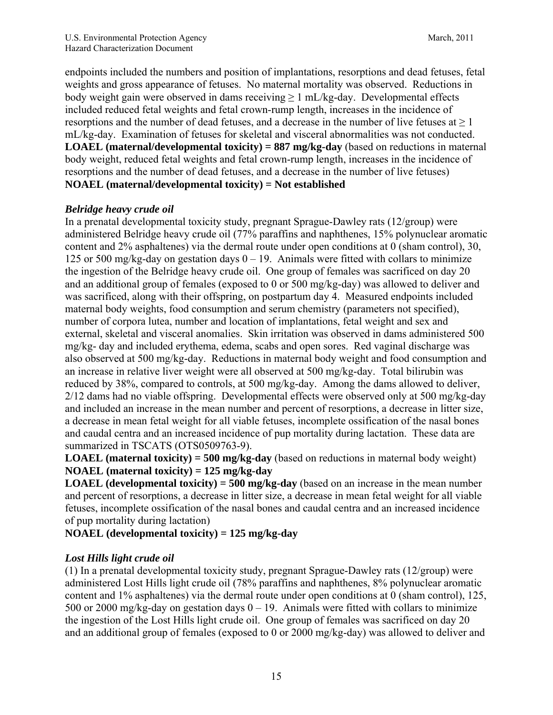endpoints included the numbers and position of implantations, resorptions and dead fetuses, fetal weights and gross appearance of fetuses. No maternal mortality was observed. Reductions in body weight gain were observed in dams receiving  $> 1$  mL/kg-day. Developmental effects included reduced fetal weights and fetal crown-rump length, increases in the incidence of resorptions and the number of dead fetuses, and a decrease in the number of live fetuses at  $\geq 1$ mL/kg-day. Examination of fetuses for skeletal and visceral abnormalities was not conducted. **LOAEL (maternal/developmental toxicity) = 887 mg/kg-day** (based on reductions in maternal body weight, reduced fetal weights and fetal crown-rump length, increases in the incidence of resorptions and the number of dead fetuses, and a decrease in the number of live fetuses) **NOAEL (maternal/developmental toxicity) = Not established** 

#### *Belridge heavy crude oil*

In a prenatal developmental toxicity study, pregnant Sprague-Dawley rats (12/group) were administered Belridge heavy crude oil (77% paraffins and naphthenes, 15% polynuclear aromatic content and 2% asphaltenes) via the dermal route under open conditions at 0 (sham control), 30, 125 or 500 mg/kg-day on gestation days  $0 - 19$ . Animals were fitted with collars to minimize the ingestion of the Belridge heavy crude oil. One group of females was sacrificed on day 20 and an additional group of females (exposed to 0 or 500 mg/kg-day) was allowed to deliver and was sacrificed, along with their offspring, on postpartum day 4. Measured endpoints included maternal body weights, food consumption and serum chemistry (parameters not specified), number of corpora lutea, number and location of implantations, fetal weight and sex and external, skeletal and visceral anomalies. Skin irritation was observed in dams administered 500 mg/kg- day and included erythema, edema, scabs and open sores. Red vaginal discharge was also observed at 500 mg/kg-day. Reductions in maternal body weight and food consumption and an increase in relative liver weight were all observed at 500 mg/kg-day. Total bilirubin was reduced by 38%, compared to controls, at 500 mg/kg-day. Among the dams allowed to deliver, 2/12 dams had no viable offspring. Developmental effects were observed only at 500 mg/kg-day and included an increase in the mean number and percent of resorptions, a decrease in litter size, a decrease in mean fetal weight for all viable fetuses, incomplete ossification of the nasal bones and caudal centra and an increased incidence of pup mortality during lactation. These data are summarized in TSCATS (OTS0509763-9).

**LOAEL (maternal toxicity) = 500 mg/kg-day** (based on reductions in maternal body weight) **NOAEL (maternal toxicity) = 125 mg/kg-day** 

**LOAEL (developmental toxicity) = 500 mg/kg-day** (based on an increase in the mean number and percent of resorptions, a decrease in litter size, a decrease in mean fetal weight for all viable fetuses, incomplete ossification of the nasal bones and caudal centra and an increased incidence of pup mortality during lactation)

**NOAEL (developmental toxicity) = 125 mg/kg-day**

## *Lost Hills light crude oil*

(1) In a prenatal developmental toxicity study, pregnant Sprague-Dawley rats (12/group) were administered Lost Hills light crude oil (78% paraffins and naphthenes, 8% polynuclear aromatic content and 1% asphaltenes) via the dermal route under open conditions at 0 (sham control), 125, 500 or 2000 mg/kg-day on gestation days  $0 - 19$ . Animals were fitted with collars to minimize the ingestion of the Lost Hills light crude oil. One group of females was sacrificed on day 20 and an additional group of females (exposed to 0 or 2000 mg/kg-day) was allowed to deliver and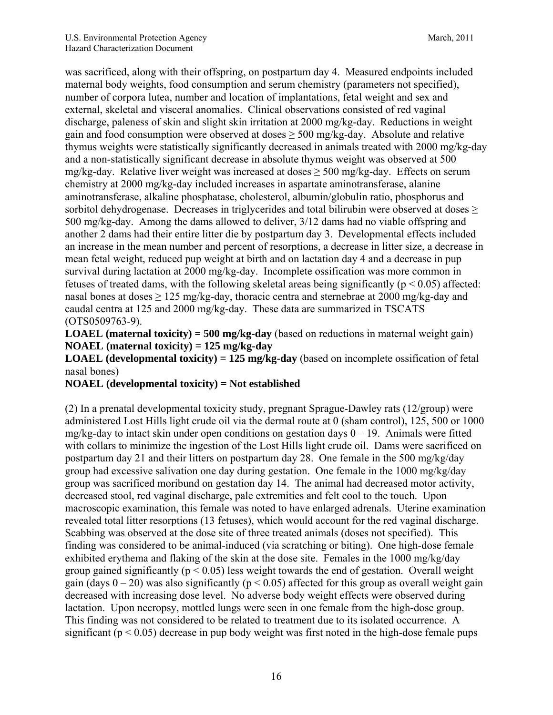was sacrificed, along with their offspring, on postpartum day 4. Measured endpoints included maternal body weights, food consumption and serum chemistry (parameters not specified), number of corpora lutea, number and location of implantations, fetal weight and sex and external, skeletal and visceral anomalies. Clinical observations consisted of red vaginal discharge, paleness of skin and slight skin irritation at 2000 mg/kg-day. Reductions in weight gain and food consumption were observed at doses  $\geq$  500 mg/kg-day. Absolute and relative thymus weights were statistically significantly decreased in animals treated with 2000 mg/kg-day and a non-statistically significant decrease in absolute thymus weight was observed at 500 mg/kg-day. Relative liver weight was increased at doses  $\geq$  500 mg/kg-day. Effects on serum chemistry at 2000 mg/kg-day included increases in aspartate aminotransferase, alanine aminotransferase, alkaline phosphatase, cholesterol, albumin/globulin ratio, phosphorus and sorbitol dehydrogenase. Decreases in triglycerides and total bilirubin were observed at doses  $\geq$ 500 mg/kg-day. Among the dams allowed to deliver, 3/12 dams had no viable offspring and another 2 dams had their entire litter die by postpartum day 3. Developmental effects included an increase in the mean number and percent of resorptions, a decrease in litter size, a decrease in mean fetal weight, reduced pup weight at birth and on lactation day 4 and a decrease in pup survival during lactation at 2000 mg/kg-day. Incomplete ossification was more common in fetuses of treated dams, with the following skeletal areas being significantly ( $p < 0.05$ ) affected: nasal bones at doses  $\geq 125$  mg/kg-day, thoracic centra and sternebrae at 2000 mg/kg-day and caudal centra at 125 and 2000 mg/kg-day. These data are summarized in TSCATS (OTS0509763-9).

**LOAEL (maternal toxicity) = 500 mg/kg-day** (based on reductions in maternal weight gain) **NOAEL (maternal toxicity) = 125 mg/kg-day** 

**LOAEL (developmental toxicity) = 125 mg/kg-day** (based on incomplete ossification of fetal nasal bones)

**NOAEL (developmental toxicity) = Not established** 

(2) In a prenatal developmental toxicity study, pregnant Sprague-Dawley rats (12/group) were administered Lost Hills light crude oil via the dermal route at 0 (sham control), 125, 500 or 1000 mg/kg-day to intact skin under open conditions on gestation days 0 – 19. Animals were fitted with collars to minimize the ingestion of the Lost Hills light crude oil. Dams were sacrificed on postpartum day 21 and their litters on postpartum day 28. One female in the 500 mg/kg/day group had excessive salivation one day during gestation. One female in the 1000 mg/kg/day group was sacrificed moribund on gestation day 14. The animal had decreased motor activity, decreased stool, red vaginal discharge, pale extremities and felt cool to the touch. Upon macroscopic examination, this female was noted to have enlarged adrenals. Uterine examination revealed total litter resorptions (13 fetuses), which would account for the red vaginal discharge. Scabbing was observed at the dose site of three treated animals (doses not specified). This finding was considered to be animal-induced (via scratching or biting). One high-dose female exhibited erythema and flaking of the skin at the dose site. Females in the 1000 mg/kg/day group gained significantly ( $p < 0.05$ ) less weight towards the end of gestation. Overall weight gain (days  $0 - 20$ ) was also significantly ( $p < 0.05$ ) affected for this group as overall weight gain decreased with increasing dose level. No adverse body weight effects were observed during lactation. Upon necropsy, mottled lungs were seen in one female from the high-dose group. This finding was not considered to be related to treatment due to its isolated occurrence. A significant ( $p < 0.05$ ) decrease in pup body weight was first noted in the high-dose female pups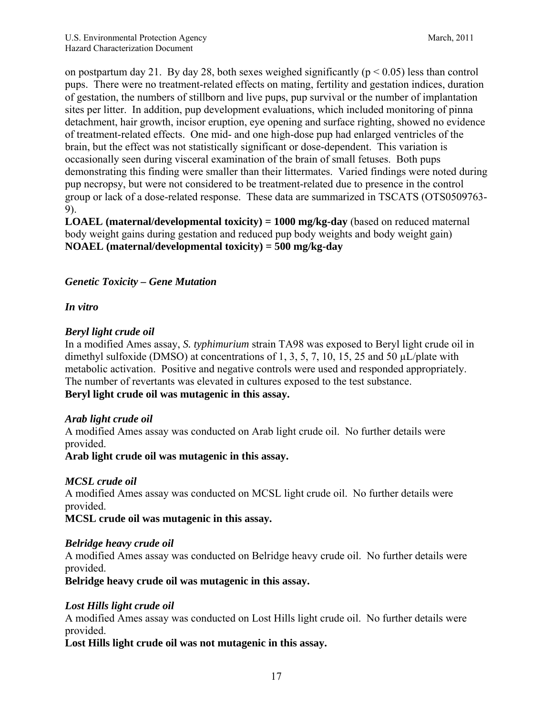on postpartum day 21. By day 28, both sexes weighed significantly ( $p < 0.05$ ) less than control pups. There were no treatment-related effects on mating, fertility and gestation indices, duration of gestation, the numbers of stillborn and live pups, pup survival or the number of implantation sites per litter. In addition, pup development evaluations, which included monitoring of pinna detachment, hair growth, incisor eruption, eye opening and surface righting, showed no evidence of treatment-related effects. One mid- and one high-dose pup had enlarged ventricles of the brain, but the effect was not statistically significant or dose-dependent. This variation is occasionally seen during visceral examination of the brain of small fetuses. Both pups demonstrating this finding were smaller than their littermates. Varied findings were noted during pup necropsy, but were not considered to be treatment-related due to presence in the control group or lack of a dose-related response. These data are summarized in TSCATS (OTS0509763- 9).

**LOAEL (maternal/developmental toxicity) = 1000 mg/kg-day** (based on reduced maternal body weight gains during gestation and reduced pup body weights and body weight gain) **NOAEL (maternal/developmental toxicity) = 500 mg/kg-day** 

#### *Genetic Toxicity – Gene Mutation*

#### *In vitro*

#### *Beryl light crude oil*

In a modified Ames assay, *S. typhimurium* strain TA98 was exposed to Beryl light crude oil in dimethyl sulfoxide (DMSO) at concentrations of 1, 3, 5, 7, 10, 15, 25 and 50  $\mu$ L/plate with metabolic activation. Positive and negative controls were used and responded appropriately. The number of revertants was elevated in cultures exposed to the test substance. **Beryl light crude oil was mutagenic in this assay.** 

#### *Arab light crude oil*

A modified Ames assay was conducted on Arab light crude oil. No further details were provided.

**Arab light crude oil was mutagenic in this assay.** 

#### *MCSL crude oil*

A modified Ames assay was conducted on MCSL light crude oil. No further details were provided.

**MCSL crude oil was mutagenic in this assay.** 

#### *Belridge heavy crude oil*

A modified Ames assay was conducted on Belridge heavy crude oil. No further details were provided.

**Belridge heavy crude oil was mutagenic in this assay.** 

#### *Lost Hills light crude oil*

A modified Ames assay was conducted on Lost Hills light crude oil. No further details were provided.

**Lost Hills light crude oil was not mutagenic in this assay.**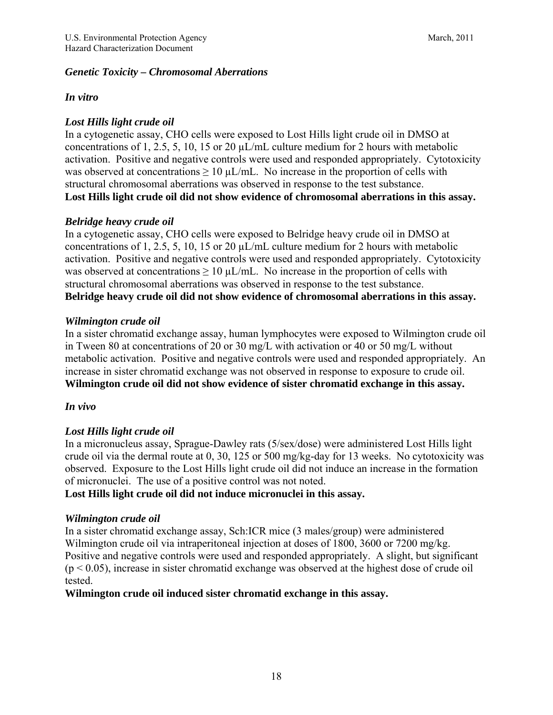#### *Genetic Toxicity – Chromosomal Aberrations*

#### *In vitro*

## *Lost Hills light crude oil*

In a cytogenetic assay, CHO cells were exposed to Lost Hills light crude oil in DMSO at concentrations of 1, 2.5, 5, 10, 15 or 20  $\mu L/mL$  culture medium for 2 hours with metabolic activation. Positive and negative controls were used and responded appropriately. Cytotoxicity was observed at concentrations  $\geq 10 \mu L/mL$ . No increase in the proportion of cells with structural chromosomal aberrations was observed in response to the test substance. **Lost Hills light crude oil did not show evidence of chromosomal aberrations in this assay.** 

## *Belridge heavy crude oil*

In a cytogenetic assay, CHO cells were exposed to Belridge heavy crude oil in DMSO at concentrations of 1, 2.5, 5, 10, 15 or 20  $\mu$ L/mL culture medium for 2 hours with metabolic activation. Positive and negative controls were used and responded appropriately. Cytotoxicity was observed at concentrations  $\geq 10 \mu L/mL$ . No increase in the proportion of cells with structural chromosomal aberrations was observed in response to the test substance. **Belridge heavy crude oil did not show evidence of chromosomal aberrations in this assay.** 

## *Wilmington crude oil*

In a sister chromatid exchange assay, human lymphocytes were exposed to Wilmington crude oil in Tween 80 at concentrations of 20 or 30 mg/L with activation or 40 or 50 mg/L without metabolic activation. Positive and negative controls were used and responded appropriately. An increase in sister chromatid exchange was not observed in response to exposure to crude oil. **Wilmington crude oil did not show evidence of sister chromatid exchange in this assay.** 

## *In vivo*

## *Lost Hills light crude oil*

In a micronucleus assay, Sprague-Dawley rats (5/sex/dose) were administered Lost Hills light crude oil via the dermal route at 0, 30, 125 or 500 mg/kg-day for 13 weeks. No cytotoxicity was observed. Exposure to the Lost Hills light crude oil did not induce an increase in the formation of micronuclei. The use of a positive control was not noted.

#### **Lost Hills light crude oil did not induce micronuclei in this assay.**

## *Wilmington crude oil*

In a sister chromatid exchange assay, Sch:ICR mice (3 males/group) were administered Wilmington crude oil via intraperitoneal injection at doses of 1800, 3600 or 7200 mg/kg. Positive and negative controls were used and responded appropriately. A slight, but significant  $(p < 0.05)$ , increase in sister chromatid exchange was observed at the highest dose of crude oil tested.

**Wilmington crude oil induced sister chromatid exchange in this assay.**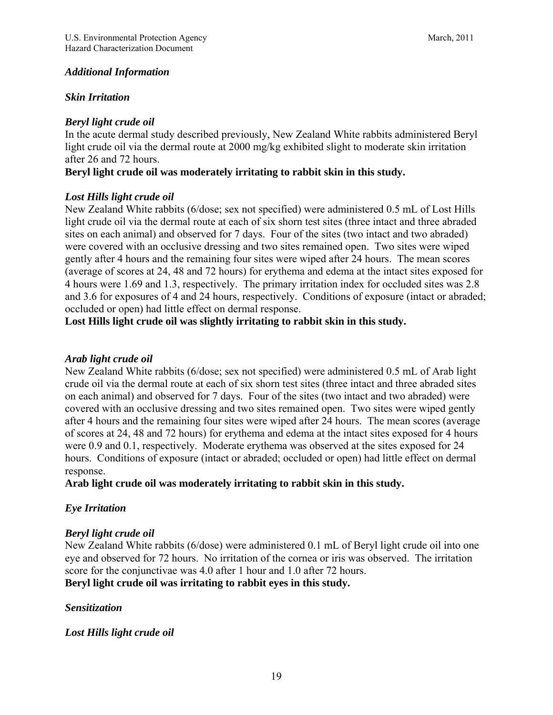#### *Additional Information*

#### *Skin Irritation*

#### *Beryl light crude oil*

In the acute dermal study described previously, New Zealand White rabbits administered Beryl light crude oil via the dermal route at 2000 mg/kg exhibited slight to moderate skin irritation after 26 and 72 hours.

#### **Beryl light crude oil was moderately irritating to rabbit skin in this study.**

#### *Lost Hills light crude oil*

New Zealand White rabbits (6/dose; sex not specified) were administered 0.5 mL of Lost Hills light crude oil via the dermal route at each of six shorn test sites (three intact and three abraded sites on each animal) and observed for 7 days. Four of the sites (two intact and two abraded) were covered with an occlusive dressing and two sites remained open. Two sites were wiped gently after 4 hours and the remaining four sites were wiped after 24 hours. The mean scores (average of scores at 24, 48 and 72 hours) for erythema and edema at the intact sites exposed for 4 hours were 1.69 and 1.3, respectively. The primary irritation index for occluded sites was 2.8 and 3.6 for exposures of 4 and 24 hours, respectively. Conditions of exposure (intact or abraded; occluded or open) had little effect on dermal response.

**Lost Hills light crude oil was slightly irritating to rabbit skin in this study.** 

#### *Arab light crude oil*

New Zealand White rabbits (6/dose; sex not specified) were administered 0.5 mL of Arab light crude oil via the dermal route at each of six shorn test sites (three intact and three abraded sites on each animal) and observed for 7 days. Four of the sites (two intact and two abraded) were covered with an occlusive dressing and two sites remained open. Two sites were wiped gently after 4 hours and the remaining four sites were wiped after 24 hours. The mean scores (average of scores at 24, 48 and 72 hours) for erythema and edema at the intact sites exposed for 4 hours were 0.9 and 0.1, respectively. Moderate erythema was observed at the sites exposed for 24 hours. Conditions of exposure (intact or abraded; occluded or open) had little effect on dermal response.

**Arab light crude oil was moderately irritating to rabbit skin in this study.**

## *Eye Irritation*

#### *Beryl light crude oil*

New Zealand White rabbits (6/dose) were administered 0.1 mL of Beryl light crude oil into one eye and observed for 72 hours. No irritation of the cornea or iris was observed. The irritation score for the conjunctivae was 4.0 after 1 hour and 1.0 after 72 hours. **Beryl light crude oil was irritating to rabbit eyes in this study.** 

#### *Sensitization*

#### *Lost Hills light crude oil*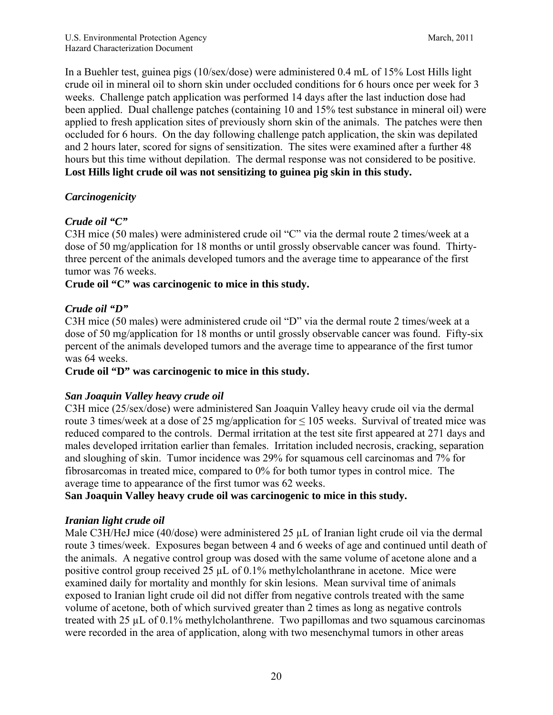In a Buehler test, guinea pigs (10/sex/dose) were administered 0.4 mL of 15% Lost Hills light crude oil in mineral oil to shorn skin under occluded conditions for 6 hours once per week for 3 weeks. Challenge patch application was performed 14 days after the last induction dose had been applied. Dual challenge patches (containing 10 and 15% test substance in mineral oil) were applied to fresh application sites of previously shorn skin of the animals. The patches were then occluded for 6 hours. On the day following challenge patch application, the skin was depilated and 2 hours later, scored for signs of sensitization. The sites were examined after a further 48 hours but this time without depilation. The dermal response was not considered to be positive. **Lost Hills light crude oil was not sensitizing to guinea pig skin in this study.**

## *Carcinogenicity*

## *Crude oil "C"*

C3H mice (50 males) were administered crude oil "C" via the dermal route 2 times/week at a dose of 50 mg/application for 18 months or until grossly observable cancer was found. Thirtythree percent of the animals developed tumors and the average time to appearance of the first tumor was 76 weeks.

## **Crude oil "C" was carcinogenic to mice in this study.**

#### *Crude oil "D"*

C3H mice (50 males) were administered crude oil "D" via the dermal route 2 times/week at a dose of 50 mg/application for 18 months or until grossly observable cancer was found. Fifty-six percent of the animals developed tumors and the average time to appearance of the first tumor was 64 weeks.

#### **Crude oil "D" was carcinogenic to mice in this study.**

## *San Joaquin Valley heavy crude oil*

C3H mice (25/sex/dose) were administered San Joaquin Valley heavy crude oil via the dermal route 3 times/week at a dose of 25 mg/application for  $\leq 105$  weeks. Survival of treated mice was reduced compared to the controls. Dermal irritation at the test site first appeared at 271 days and males developed irritation earlier than females. Irritation included necrosis, cracking, separation and sloughing of skin. Tumor incidence was 29% for squamous cell carcinomas and 7% for fibrosarcomas in treated mice, compared to 0% for both tumor types in control mice. The average time to appearance of the first tumor was 62 weeks.

## **San Joaquin Valley heavy crude oil was carcinogenic to mice in this study.**

## *Iranian light crude oil*

Male C3H/HeJ mice (40/dose) were administered 25 µL of Iranian light crude oil via the dermal route 3 times/week. Exposures began between 4 and 6 weeks of age and continued until death of the animals. A negative control group was dosed with the same volume of acetone alone and a positive control group received 25 µL of 0.1% methylcholanthrane in acetone. Mice were examined daily for mortality and monthly for skin lesions. Mean survival time of animals exposed to Iranian light crude oil did not differ from negative controls treated with the same volume of acetone, both of which survived greater than 2 times as long as negative controls treated with 25 µL of 0.1% methylcholanthrene. Two papillomas and two squamous carcinomas were recorded in the area of application, along with two mesenchymal tumors in other areas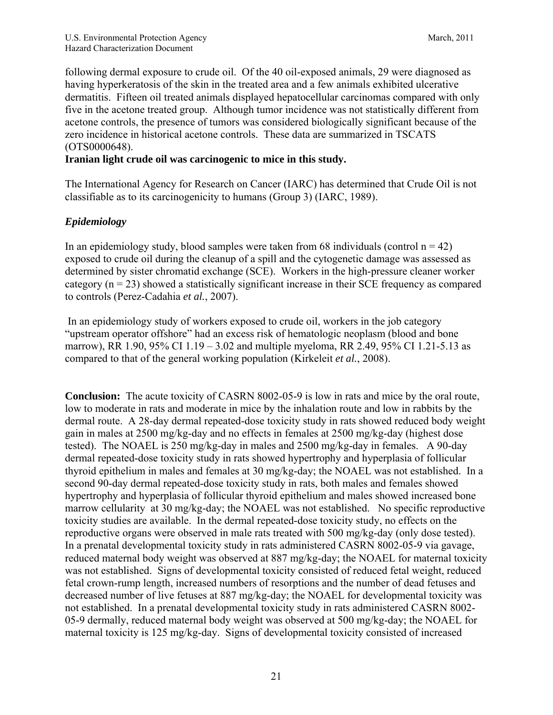following dermal exposure to crude oil. Of the 40 oil-exposed animals, 29 were diagnosed as having hyperkeratosis of the skin in the treated area and a few animals exhibited ulcerative dermatitis. Fifteen oil treated animals displayed hepatocellular carcinomas compared with only five in the acetone treated group. Although tumor incidence was not statistically different from acetone controls, the presence of tumors was considered biologically significant because of the zero incidence in historical acetone controls. These data are summarized in TSCATS (OTS0000648).

#### **Iranian light crude oil was carcinogenic to mice in this study.**

The International Agency for Research on Cancer (IARC) has determined that Crude Oil is not classifiable as to its carcinogenicity to humans (Group 3) (IARC, 1989).

## *Epidemiology*

In an epidemiology study, blood samples were taken from 68 individuals (control  $n = 42$ ) exposed to crude oil during the cleanup of a spill and the cytogenetic damage was assessed as determined by sister chromatid exchange (SCE). Workers in the high-pressure cleaner worker category  $(n = 23)$  showed a statistically significant increase in their SCE frequency as compared to controls (Perez-Cadahia *et al.*, 2007).

 In an epidemiology study of workers exposed to crude oil, workers in the job category "upstream operator offshore" had an excess risk of hematologic neoplasm (blood and bone marrow), RR 1.90, 95% CI 1.19 – 3.02 and multiple myeloma, RR 2.49, 95% CI 1.21-5.13 as compared to that of the general working population (Kirkeleit *et al.*, 2008).

**Conclusion:** The acute toxicity of CASRN 8002-05-9 is low in rats and mice by the oral route, low to moderate in rats and moderate in mice by the inhalation route and low in rabbits by the dermal route. A 28-day dermal repeated-dose toxicity study in rats showed reduced body weight gain in males at 2500 mg/kg-day and no effects in females at 2500 mg/kg-day (highest dose tested). The NOAEL is 250 mg/kg-day in males and 2500 mg/kg-day in females. A 90-day dermal repeated-dose toxicity study in rats showed hypertrophy and hyperplasia of follicular thyroid epithelium in males and females at 30 mg/kg-day; the NOAEL was not established. In a second 90-day dermal repeated-dose toxicity study in rats, both males and females showed hypertrophy and hyperplasia of follicular thyroid epithelium and males showed increased bone marrow cellularity at 30 mg/kg-day; the NOAEL was not established. No specific reproductive toxicity studies are available. In the dermal repeated-dose toxicity study, no effects on the reproductive organs were observed in male rats treated with 500 mg/kg-day (only dose tested). In a prenatal developmental toxicity study in rats administered CASRN 8002-05-9 via gavage, reduced maternal body weight was observed at 887 mg/kg-day; the NOAEL for maternal toxicity was not established. Signs of developmental toxicity consisted of reduced fetal weight, reduced fetal crown-rump length, increased numbers of resorptions and the number of dead fetuses and decreased number of live fetuses at 887 mg/kg-day; the NOAEL for developmental toxicity was not established. In a prenatal developmental toxicity study in rats administered CASRN 8002- 05-9 dermally, reduced maternal body weight was observed at 500 mg/kg-day; the NOAEL for maternal toxicity is 125 mg/kg-day. Signs of developmental toxicity consisted of increased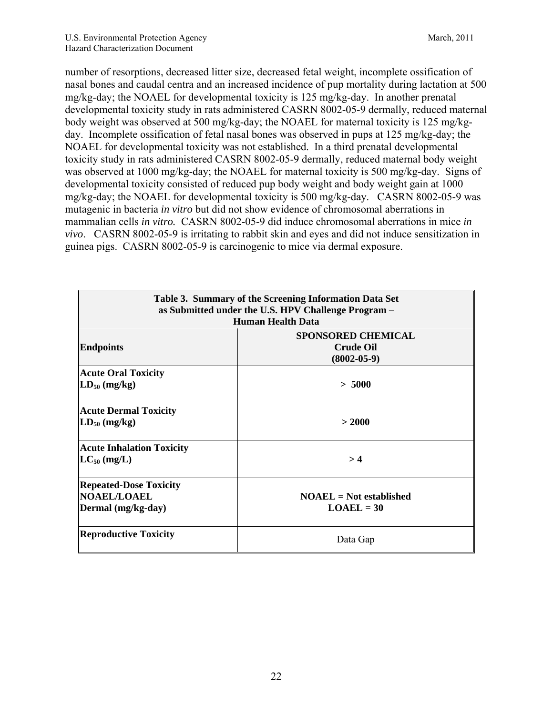number of resorptions, decreased litter size, decreased fetal weight, incomplete ossification of nasal bones and caudal centra and an increased incidence of pup mortality during lactation at 500 mg/kg-day; the NOAEL for developmental toxicity is 125 mg/kg-day. In another prenatal developmental toxicity study in rats administered CASRN 8002-05-9 dermally, reduced maternal body weight was observed at 500 mg/kg-day; the NOAEL for maternal toxicity is 125 mg/kgday. Incomplete ossification of fetal nasal bones was observed in pups at 125 mg/kg-day; the NOAEL for developmental toxicity was not established. In a third prenatal developmental toxicity study in rats administered CASRN 8002-05-9 dermally, reduced maternal body weight was observed at 1000 mg/kg-day; the NOAEL for maternal toxicity is 500 mg/kg-day. Signs of developmental toxicity consisted of reduced pup body weight and body weight gain at 1000 mg/kg-day; the NOAEL for developmental toxicity is 500 mg/kg-day. CASRN 8002-05-9 was mutagenic in bacteria *in vitro* but did not show evidence of chromosomal aberrations in mammalian cells *in vitro.* CASRN 8002-05-9 did induce chromosomal aberrations in mice *in vivo*.CASRN 8002-05-9 is irritating to rabbit skin and eyes and did not induce sensitization in guinea pigs. CASRN 8002-05-9 is carcinogenic to mice via dermal exposure.

| Table 3. Summary of the Screening Information Data Set<br>as Submitted under the U.S. HPV Challenge Program -<br><b>Human Health Data</b> |                                                                    |  |  |  |  |
|-------------------------------------------------------------------------------------------------------------------------------------------|--------------------------------------------------------------------|--|--|--|--|
| <b>Endpoints</b>                                                                                                                          | <b>SPONSORED CHEMICAL</b><br><b>Crude Oil</b><br>$(8002 - 05 - 9)$ |  |  |  |  |
| <b>Acute Oral Toxicity</b><br>$LD_{50}$ (mg/kg)                                                                                           | > 5000                                                             |  |  |  |  |
| <b>Acute Dermal Toxicity</b><br>$LD_{50}$ (mg/kg)                                                                                         | > 2000                                                             |  |  |  |  |
| <b>Acute Inhalation Toxicity</b><br>$LC_{50}$ (mg/L)                                                                                      | >4                                                                 |  |  |  |  |
| <b>Repeated-Dose Toxicity</b><br><b>NOAEL/LOAEL</b><br>Dermal (mg/kg-day)                                                                 | $NOAEL = Not established$<br>$LOAEL = 30$                          |  |  |  |  |
| <b>Reproductive Toxicity</b>                                                                                                              | Data Gap                                                           |  |  |  |  |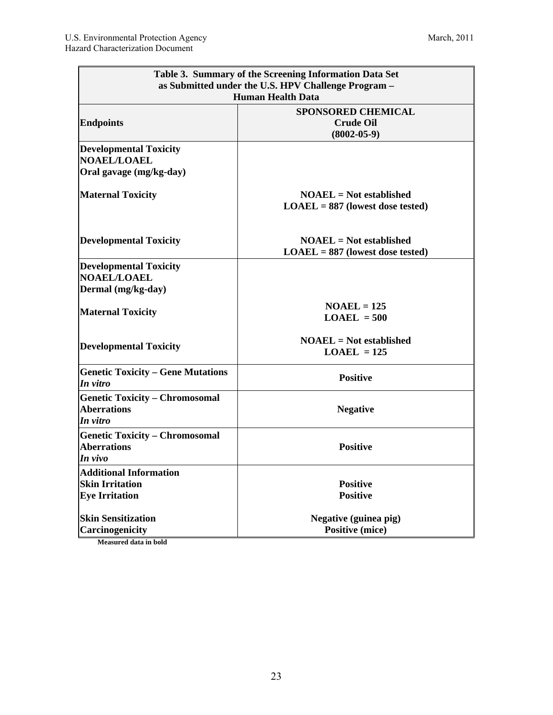| Table 3. Summary of the Screening Information Data Set<br>as Submitted under the U.S. HPV Challenge Program -<br><b>Human Health Data</b> |                                                                    |  |  |  |
|-------------------------------------------------------------------------------------------------------------------------------------------|--------------------------------------------------------------------|--|--|--|
| <b>Endpoints</b>                                                                                                                          | <b>SPONSORED CHEMICAL</b><br><b>Crude Oil</b><br>$(8002 - 05 - 9)$ |  |  |  |
| <b>Developmental Toxicity</b><br><b>NOAEL/LOAEL</b>                                                                                       |                                                                    |  |  |  |
| Oral gavage (mg/kg-day)                                                                                                                   |                                                                    |  |  |  |
| <b>Maternal Toxicity</b>                                                                                                                  | $NOAEL = Not established$<br>$LOAEL = 887$ (lowest dose tested)    |  |  |  |
| <b>Developmental Toxicity</b>                                                                                                             | $NOAEL = Not established$<br>$LOAEL = 887$ (lowest dose tested)    |  |  |  |
| <b>Developmental Toxicity</b><br><b>NOAEL/LOAEL</b><br>Dermal (mg/kg-day)                                                                 |                                                                    |  |  |  |
| <b>Maternal Toxicity</b>                                                                                                                  | $NOAEL = 125$<br>$LOAEL = 500$                                     |  |  |  |
| <b>Developmental Toxicity</b>                                                                                                             | $NOAEL = Not established$<br>$LOAEL = 125$                         |  |  |  |
| <b>Genetic Toxicity - Gene Mutations</b><br>In vitro                                                                                      | <b>Positive</b>                                                    |  |  |  |
| <b>Genetic Toxicity - Chromosomal</b><br><b>Aberrations</b><br>In vitro                                                                   | <b>Negative</b>                                                    |  |  |  |
| <b>Genetic Toxicity - Chromosomal</b><br><b>Aberrations</b><br>In vivo                                                                    | <b>Positive</b>                                                    |  |  |  |
| <b>Additional Information</b><br><b>Skin Irritation</b><br><b>Eye Irritation</b>                                                          | <b>Positive</b><br><b>Positive</b>                                 |  |  |  |
| <b>Skin Sensitization</b><br>Carcinogenicity                                                                                              | Negative (guinea pig)<br><b>Positive (mice)</b>                    |  |  |  |

**Measured data in bold**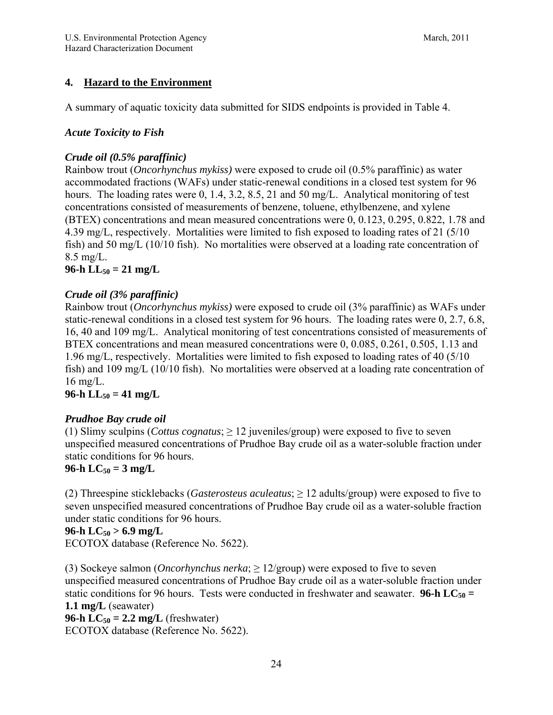## **4. Hazard to the Environment**

A summary of aquatic toxicity data submitted for SIDS endpoints is provided in Table 4.

#### *Acute Toxicity to Fish*

#### *Crude oil (0.5% paraffinic)*

Rainbow trout (*Oncorhynchus mykiss)* were exposed to crude oil (0.5% paraffinic) as water accommodated fractions (WAFs) under static-renewal conditions in a closed test system for 96 hours. The loading rates were 0, 1.4, 3.2, 8.5, 21 and 50 mg/L. Analytical monitoring of test concentrations consisted of measurements of benzene, toluene, ethylbenzene, and xylene (BTEX) concentrations and mean measured concentrations were 0, 0.123, 0.295, 0.822, 1.78 and 4.39 mg/L, respectively. Mortalities were limited to fish exposed to loading rates of 21 (5/10 fish) and 50 mg/L (10/10 fish). No mortalities were observed at a loading rate concentration of 8.5 mg/L.

## **96-h**  $LL_{50} = 21$  mg/L

## *Crude oil (3% paraffinic)*

Rainbow trout (*Oncorhynchus mykiss)* were exposed to crude oil (3% paraffinic) as WAFs under static-renewal conditions in a closed test system for 96 hours. The loading rates were 0, 2.7, 6.8, 16, 40 and 109 mg/L. Analytical monitoring of test concentrations consisted of measurements of BTEX concentrations and mean measured concentrations were 0, 0.085, 0.261, 0.505, 1.13 and 1.96 mg/L, respectively. Mortalities were limited to fish exposed to loading rates of 40 (5/10 fish) and 109 mg/L (10/10 fish). No mortalities were observed at a loading rate concentration of 16 mg/L.

## $96-h$  LL<sub>50</sub> = 41 mg/L

## *Prudhoe Bay crude oil*

(1) Slimy sculpins (*Cottus cognatus*;  $\geq$  12 juveniles/group) were exposed to five to seven unspecified measured concentrations of Prudhoe Bay crude oil as a water-soluble fraction under static conditions for 96 hours.

## **96-h**  $LC_{50} = 3$  mg/L

(2) Threespine sticklebacks (*Gasterosteus aculeatus*; ≥ 12 adults/group) were exposed to five to seven unspecified measured concentrations of Prudhoe Bay crude oil as a water-soluble fraction under static conditions for 96 hours.

## $96-h LC_{50} > 6.9 mg/L$

ECOTOX database (Reference No. 5622).

(3) Sockeye salmon (*Oncorhynchus nerka*; ≥ 12/group) were exposed to five to seven unspecified measured concentrations of Prudhoe Bay crude oil as a water-soluble fraction under static conditions for 96 hours. Tests were conducted in freshwater and seawater. **96-h LC**<sub>50</sub> = **1.1 mg/L** (seawater) **96-h LC<sub>50</sub> = 2.2 mg/L** (freshwater)

ECOTOX database (Reference No. 5622).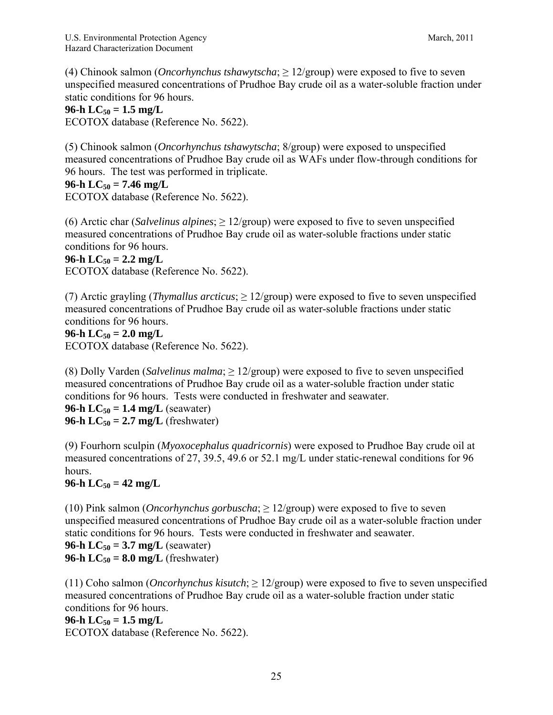(4) Chinook salmon (*Oncorhynchus tshawytscha*; ≥ 12/group) were exposed to five to seven unspecified measured concentrations of Prudhoe Bay crude oil as a water-soluble fraction under static conditions for 96 hours.

#### **96-h**  $LC_{50} = 1.5$  mg/L

ECOTOX database (Reference No. 5622).

(5) Chinook salmon (*Oncorhynchus tshawytscha*; 8/group) were exposed to unspecified measured concentrations of Prudhoe Bay crude oil as WAFs under flow-through conditions for 96 hours. The test was performed in triplicate.

#### $96-h LC_{50} = 7.46 mg/L$

ECOTOX database (Reference No. 5622).

(6) Arctic char (*Salvelinus alpines*; ≥ 12/group) were exposed to five to seven unspecified measured concentrations of Prudhoe Bay crude oil as water-soluble fractions under static conditions for 96 hours.

#### **96-h**  $LC_{50} = 2.2$  mg/L

ECOTOX database (Reference No. 5622).

(7) Arctic grayling (*Thymallus arcticus*;  $\geq 12$ /group) were exposed to five to seven unspecified measured concentrations of Prudhoe Bay crude oil as water-soluble fractions under static conditions for 96 hours.

#### **96-h**  $LC_{50} = 2.0$  mg/L

ECOTOX database (Reference No. 5622).

(8) Dolly Varden (*Salvelinus malma*;  $\geq$  12/group) were exposed to five to seven unspecified measured concentrations of Prudhoe Bay crude oil as a water-soluble fraction under static conditions for 96 hours. Tests were conducted in freshwater and seawater.

**96-h LC<sub>50</sub> = 1.4 mg/L** (seawater) **96-h LC<sub>50</sub> = 2.7 mg/L** (freshwater)

(9) Fourhorn sculpin (*Myoxocephalus quadricornis*) were exposed to Prudhoe Bay crude oil at measured concentrations of 27, 39.5, 49.6 or 52.1 mg/L under static-renewal conditions for 96 hours.

## **96-h**  $LC_{50} = 42$  mg/L

(10) Pink salmon (*Oncorhynchus gorbuscha*; ≥ 12/group) were exposed to five to seven unspecified measured concentrations of Prudhoe Bay crude oil as a water-soluble fraction under static conditions for 96 hours. Tests were conducted in freshwater and seawater. **96-h**  $LC_{50} = 3.7$  mg/L (seawater) **96-h LC<sub>50</sub> = 8.0 mg/L** (freshwater)

(11) Coho salmon (*Oncorhynchus kisutch*; ≥ 12/group) were exposed to five to seven unspecified measured concentrations of Prudhoe Bay crude oil as a water-soluble fraction under static conditions for 96 hours.

#### **96-h**  $LC_{50} = 1.5$  mg/L

ECOTOX database (Reference No. 5622).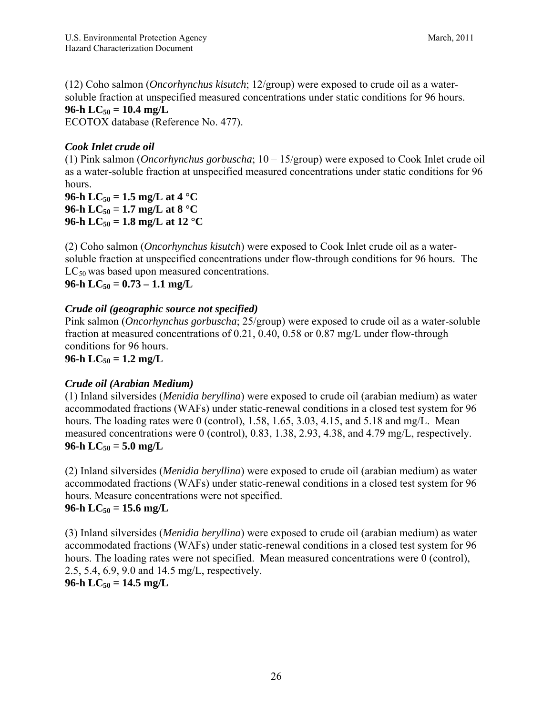(12) Coho salmon (*Oncorhynchus kisutch*; 12/group) were exposed to crude oil as a watersoluble fraction at unspecified measured concentrations under static conditions for 96 hours. **96-h**  $LC_{50} = 10.4$  mg/L

ECOTOX database (Reference No. 477).

## *Cook Inlet crude oil*

(1) Pink salmon (*Oncorhynchus gorbuscha*; 10 – 15/group) were exposed to Cook Inlet crude oil as a water-soluble fraction at unspecified measured concentrations under static conditions for 96 hours.

**96-h**  $LC_{50} = 1.5$  mg/L at 4 °C **96-h**  $LC_{50} = 1.7$  mg/L at  $8 °C$ 96-h LC<sub>50</sub> = 1.8 mg/L at 12 °C

(2) Coho salmon (*Oncorhynchus kisutch*) were exposed to Cook Inlet crude oil as a watersoluble fraction at unspecified concentrations under flow-through conditions for 96 hours. The  $LC_{50}$  was based upon measured concentrations.

 $96-h$  LC<sub>50</sub> =  $0.73-1.1$  mg/L

## *Crude oil (geographic source not specified)*

Pink salmon (*Oncorhynchus gorbuscha*; 25/group) were exposed to crude oil as a water-soluble fraction at measured concentrations of 0.21, 0.40, 0.58 or 0.87 mg/L under flow-through conditions for 96 hours.

**96-h**  $LC_{50} = 1.2$  mg/L

## *Crude oil (Arabian Medium)*

(1) Inland silversides (*Menidia beryllina*) were exposed to crude oil (arabian medium) as water accommodated fractions (WAFs) under static-renewal conditions in a closed test system for 96 hours. The loading rates were 0 (control),  $1.58$ ,  $1.65$ ,  $3.03$ ,  $4.15$ , and  $5.18$  and mg/L. Mean measured concentrations were 0 (control), 0.83, 1.38, 2.93, 4.38, and 4.79 mg/L, respectively.  $96-h LC_{50} = 5.0 mg/L$ 

(2) Inland silversides (*Menidia beryllina*) were exposed to crude oil (arabian medium) as water accommodated fractions (WAFs) under static-renewal conditions in a closed test system for 96 hours. Measure concentrations were not specified.  $96-h LC_{50} = 15.6 mg/L$ 

(3) Inland silversides (*Menidia beryllina*) were exposed to crude oil (arabian medium) as water accommodated fractions (WAFs) under static-renewal conditions in a closed test system for 96 hours. The loading rates were not specified. Mean measured concentrations were 0 (control), 2.5, 5.4, 6.9, 9.0 and 14.5 mg/L, respectively. **96-h**  $LC_{50} = 14.5$  mg/L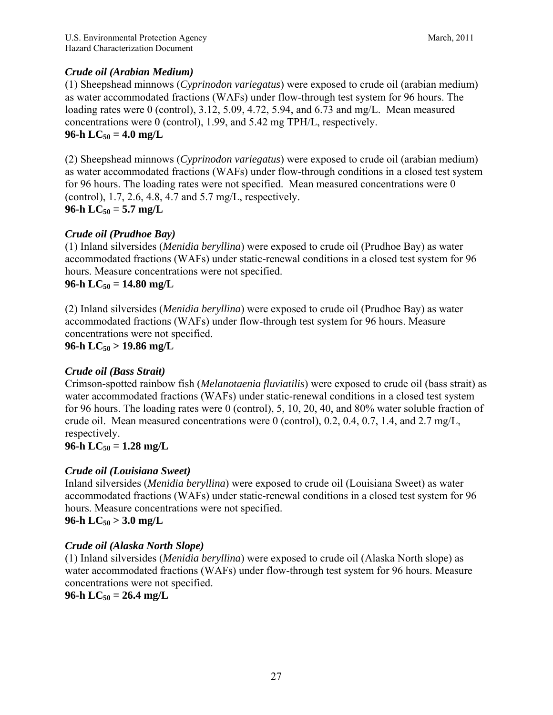## *Crude oil (Arabian Medium)*

(1) Sheepshead minnows (*Cyprinodon variegatus*) were exposed to crude oil (arabian medium) as water accommodated fractions (WAFs) under flow-through test system for 96 hours. The loading rates were 0 (control), 3.12, 5.09, 4.72, 5.94, and 6.73 and mg/L. Mean measured concentrations were 0 (control), 1.99, and 5.42 mg TPH/L, respectively. **96-h**  $LC_{50} = 4.0$  mg/L

(2) Sheepshead minnows (*Cyprinodon variegatus*) were exposed to crude oil (arabian medium) as water accommodated fractions (WAFs) under flow-through conditions in a closed test system for 96 hours. The loading rates were not specified. Mean measured concentrations were 0 (control), 1.7, 2.6, 4.8, 4.7 and 5.7 mg/L, respectively. **96-h**  $LC_{50} = 5.7$  mg/L

## *Crude oil (Prudhoe Bay)*

(1) Inland silversides (*Menidia beryllina*) were exposed to crude oil (Prudhoe Bay) as water accommodated fractions (WAFs) under static-renewal conditions in a closed test system for 96 hours. Measure concentrations were not specified.

 $96-h$  LC<sub>50</sub> = 14.80 mg/L

(2) Inland silversides (*Menidia beryllina*) were exposed to crude oil (Prudhoe Bay) as water accommodated fractions (WAFs) under flow-through test system for 96 hours. Measure concentrations were not specified.

## **96-h LC50 > 19.86 mg/L**

## *Crude oil (Bass Strait)*

Crimson-spotted rainbow fish (*Melanotaenia fluviatilis*) were exposed to crude oil (bass strait) as water accommodated fractions (WAFs) under static-renewal conditions in a closed test system for 96 hours. The loading rates were 0 (control), 5, 10, 20, 40, and 80% water soluble fraction of crude oil. Mean measured concentrations were 0 (control), 0.2, 0.4, 0.7, 1.4, and 2.7 mg/L, respectively.

 $96-h LC_{50} = 1.28 mg/L$ 

## *Crude oil (Louisiana Sweet)*

Inland silversides (*Menidia beryllina*) were exposed to crude oil (Louisiana Sweet) as water accommodated fractions (WAFs) under static-renewal conditions in a closed test system for 96 hours. Measure concentrations were not specified.  $96-h LC_{50} > 3.0 mg/L$ 

## *Crude oil (Alaska North Slope)*

(1) Inland silversides (*Menidia beryllina*) were exposed to crude oil (Alaska North slope) as water accommodated fractions (WAFs) under flow-through test system for 96 hours. Measure concentrations were not specified.

## $96-h LC_{50} = 26.4 mg/L$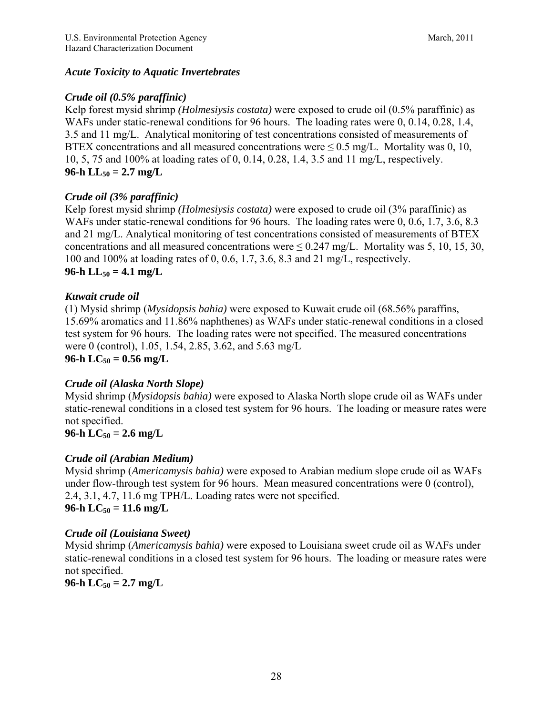## *Acute Toxicity to Aquatic Invertebrates*

## *Crude oil (0.5% paraffinic)*

Kelp forest mysid shrimp *(Holmesiysis costata)* were exposed to crude oil (0.5% paraffinic) as WAFs under static-renewal conditions for 96 hours. The loading rates were 0, 0.14, 0.28, 1.4, 3.5 and 11 mg/L. Analytical monitoring of test concentrations consisted of measurements of BTEX concentrations and all measured concentrations were  $\leq 0.5$  mg/L. Mortality was 0, 10, 10, 5, 75 and 100% at loading rates of 0, 0.14, 0.28, 1.4, 3.5 and 11 mg/L, respectively. **96-h**  $LL_{50} = 2.7$  mg/L

## *Crude oil (3% paraffinic)*

Kelp forest mysid shrimp *(Holmesiysis costata)* were exposed to crude oil (3% paraffinic) as WAFs under static-renewal conditions for 96 hours. The loading rates were 0, 0.6, 1.7, 3.6, 8.3 and 21 mg/L. Analytical monitoring of test concentrations consisted of measurements of BTEX concentrations and all measured concentrations were  $\leq 0.247$  mg/L. Mortality was 5, 10, 15, 30, 100 and 100% at loading rates of 0, 0.6, 1.7, 3.6, 8.3 and 21 mg/L, respectively. **96-h**  $LL_{50} = 4.1$  mg/L

## *Kuwait crude oil*

(1) Mysid shrimp (*Mysidopsis bahia)* were exposed to Kuwait crude oil (68.56% paraffins, 15.69% aromatics and 11.86% naphthenes) as WAFs under static-renewal conditions in a closed test system for 96 hours. The loading rates were not specified. The measured concentrations were 0 (control), 1.05, 1.54, 2.85, 3.62, and 5.63 mg/L **96-h**  $LC_{50} = 0.56$  mg/L

## *Crude oil (Alaska North Slope)*

Mysid shrimp (*Mysidopsis bahia)* were exposed to Alaska North slope crude oil as WAFs under static-renewal conditions in a closed test system for 96 hours. The loading or measure rates were not specified.

## **96-h**  $LC_{50} = 2.6$  mg/L

## *Crude oil (Arabian Medium)*

Mysid shrimp (*Americamysis bahia)* were exposed to Arabian medium slope crude oil as WAFs under flow-through test system for 96 hours. Mean measured concentrations were 0 (control), 2.4, 3.1, 4.7, 11.6 mg TPH/L. Loading rates were not specified. **96-h**  $LC_{50} = 11.6$  mg/L

## *Crude oil (Louisiana Sweet)*

Mysid shrimp (*Americamysis bahia)* were exposed to Louisiana sweet crude oil as WAFs under static-renewal conditions in a closed test system for 96 hours. The loading or measure rates were not specified.

**96-h**  $LC_{50} = 2.7$  mg/L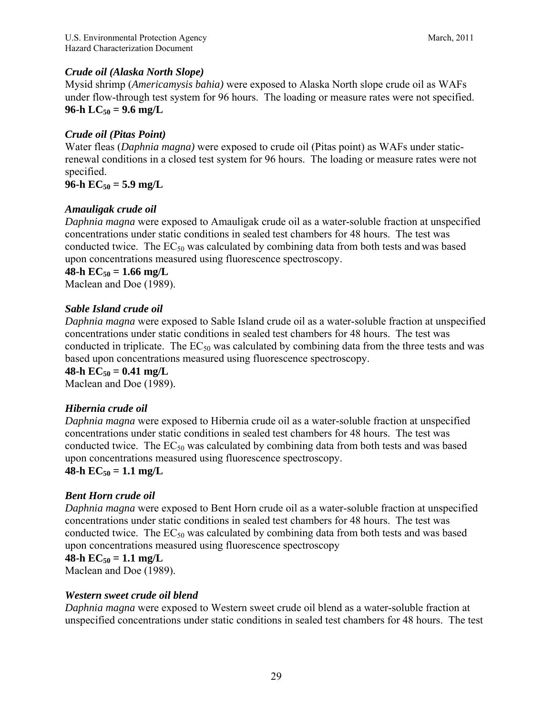## *Crude oil (Alaska North Slope)*

Mysid shrimp (*Americamysis bahia)* were exposed to Alaska North slope crude oil as WAFs under flow-through test system for 96 hours. The loading or measure rates were not specified. **96-h**  $LC_{50} = 9.6$  mg/L

## *Crude oil (Pitas Point)*

Water fleas (*Daphnia magna)* were exposed to crude oil (Pitas point) as WAFs under staticrenewal conditions in a closed test system for 96 hours. The loading or measure rates were not specified.

**96-h**  $EC_{50} = 5.9$  mg/L

## *Amauligak crude oil*

*Daphnia magna* were exposed to Amauligak crude oil as a water-soluble fraction at unspecified concentrations under static conditions in sealed test chambers for 48 hours. The test was conducted twice. The  $EC_{50}$  was calculated by combining data from both tests and was based upon concentrations measured using fluorescence spectroscopy.

**48-h**  $EC_{50} = 1.66$  mg/L

Maclean and Doe (1989).

## *Sable Island crude oil*

*Daphnia magna* were exposed to Sable Island crude oil as a water-soluble fraction at unspecified concentrations under static conditions in sealed test chambers for 48 hours. The test was conducted in triplicate. The  $EC_{50}$  was calculated by combining data from the three tests and was based upon concentrations measured using fluorescence spectroscopy.

#### **48-h**  $EC_{50} = 0.41$  mg/L

Maclean and Doe (1989).

## *Hibernia crude oil*

*Daphnia magna* were exposed to Hibernia crude oil as a water-soluble fraction at unspecified concentrations under static conditions in sealed test chambers for 48 hours. The test was conducted twice. The  $EC_{50}$  was calculated by combining data from both tests and was based upon concentrations measured using fluorescence spectroscopy. **48-h**  $EC_{50} = 1.1$  mg/L

# *Bent Horn crude oil*

*Daphnia magna* were exposed to Bent Horn crude oil as a water-soluble fraction at unspecified concentrations under static conditions in sealed test chambers for 48 hours. The test was conducted twice. The  $EC_{50}$  was calculated by combining data from both tests and was based upon concentrations measured using fluorescence spectroscopy

## **48-h**  $EC_{50} = 1.1$  mg/L

Maclean and Doe (1989).

#### *Western sweet crude oil blend*

*Daphnia magna* were exposed to Western sweet crude oil blend as a water-soluble fraction at unspecified concentrations under static conditions in sealed test chambers for 48 hours. The test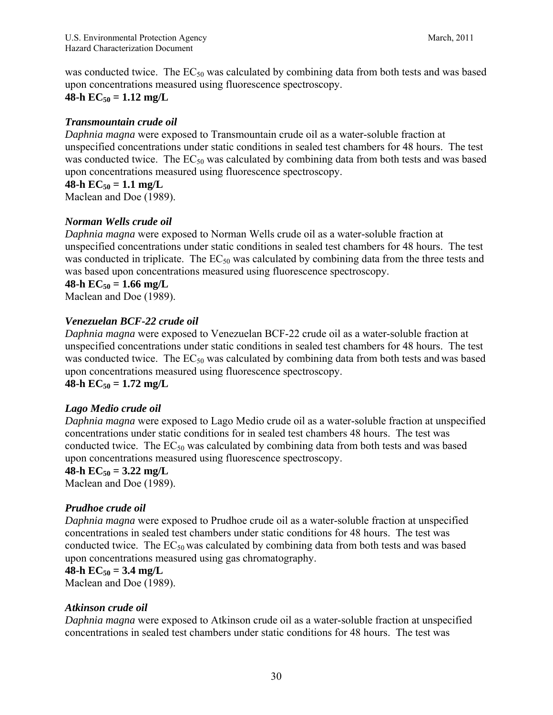was conducted twice. The  $EC_{50}$  was calculated by combining data from both tests and was based upon concentrations measured using fluorescence spectroscopy.  $48-h$  EC<sub>50</sub> = 1.12 mg/L

#### *Transmountain crude oil*

*Daphnia magna* were exposed to Transmountain crude oil as a water-soluble fraction at unspecified concentrations under static conditions in sealed test chambers for 48 hours. The test was conducted twice. The  $EC_{50}$  was calculated by combining data from both tests and was based upon concentrations measured using fluorescence spectroscopy.

#### **48-h**  $EC_{50} = 1.1$  mg/L

Maclean and Doe (1989).

#### *Norman Wells crude oil*

*Daphnia magna* were exposed to Norman Wells crude oil as a water-soluble fraction at unspecified concentrations under static conditions in sealed test chambers for 48 hours. The test was conducted in triplicate. The  $EC_{50}$  was calculated by combining data from the three tests and was based upon concentrations measured using fluorescence spectroscopy.

**48-h**  $EC_{50} = 1.66$  mg/L Maclean and Doe (1989).

# *Venezuelan BCF-22 crude oil*

*Daphnia magna* were exposed to Venezuelan BCF-22 crude oil as a water-soluble fraction at unspecified concentrations under static conditions in sealed test chambers for 48 hours. The test was conducted twice. The  $EC_{50}$  was calculated by combining data from both tests and was based upon concentrations measured using fluorescence spectroscopy. **48-h**  $EC_{50} = 1.72$  mg/L

#### *Lago Medio crude oil*

*Daphnia magna* were exposed to Lago Medio crude oil as a water-soluble fraction at unspecified concentrations under static conditions for in sealed test chambers 48 hours. The test was conducted twice. The  $EC_{50}$  was calculated by combining data from both tests and was based upon concentrations measured using fluorescence spectroscopy.

#### **48-h**  $EC_{50} = 3.22$  mg/L

Maclean and Doe (1989).

#### *Prudhoe crude oil*

*Daphnia magna* were exposed to Prudhoe crude oil as a water-soluble fraction at unspecified concentrations in sealed test chambers under static conditions for 48 hours. The test was conducted twice. The  $EC_{50}$  was calculated by combining data from both tests and was based upon concentrations measured using gas chromatography.

#### **48-h**  $EC_{50} = 3.4$  mg/L

Maclean and Doe (1989).

#### *Atkinson crude oil*

*Daphnia magna* were exposed to Atkinson crude oil as a water-soluble fraction at unspecified concentrations in sealed test chambers under static conditions for 48 hours. The test was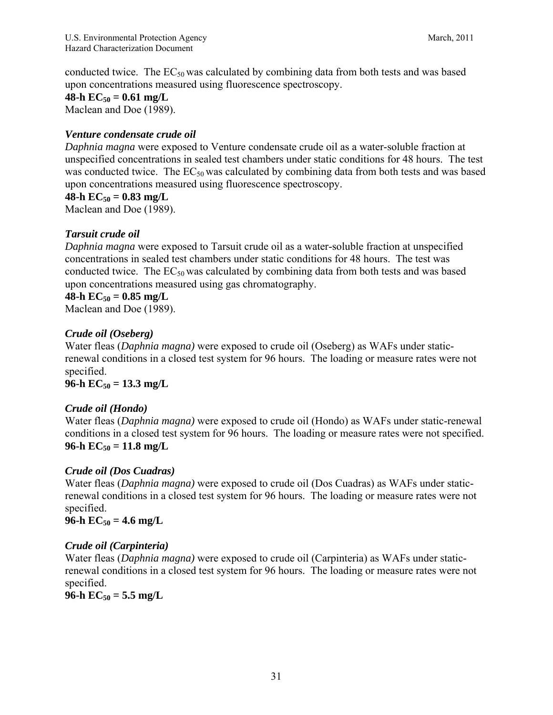conducted twice. The  $EC_{50}$  was calculated by combining data from both tests and was based upon concentrations measured using fluorescence spectroscopy.

**48-h**  $EC_{50} = 0.61$  mg/L

Maclean and Doe (1989).

## *Venture condensate crude oil*

*Daphnia magna* were exposed to Venture condensate crude oil as a water-soluble fraction at unspecified concentrations in sealed test chambers under static conditions for 48 hours. The test was conducted twice. The  $EC_{50}$  was calculated by combining data from both tests and was based upon concentrations measured using fluorescence spectroscopy.

**48-h**  $EC_{50} = 0.83$  mg/L

Maclean and Doe (1989).

## *Tarsuit crude oil*

*Daphnia magna* were exposed to Tarsuit crude oil as a water-soluble fraction at unspecified concentrations in sealed test chambers under static conditions for 48 hours. The test was conducted twice. The  $EC_{50}$  was calculated by combining data from both tests and was based upon concentrations measured using gas chromatography.

#### 48-h  $EC_{50} = 0.85$  mg/L

Maclean and Doe (1989).

#### *Crude oil (Oseberg)*

Water fleas (*Daphnia magna)* were exposed to crude oil (Oseberg) as WAFs under staticrenewal conditions in a closed test system for 96 hours. The loading or measure rates were not specified.

**96-h**  $EC_{50} = 13.3$  mg/L

#### *Crude oil (Hondo)*

Water fleas (*Daphnia magna)* were exposed to crude oil (Hondo) as WAFs under static-renewal conditions in a closed test system for 96 hours. The loading or measure rates were not specified.  $96-h$   $EC_{50} = 11.8$  mg/L

## *Crude oil (Dos Cuadras)*

Water fleas (*Daphnia magna)* were exposed to crude oil (Dos Cuadras) as WAFs under staticrenewal conditions in a closed test system for 96 hours. The loading or measure rates were not specified.

**96-h**  $EC_{50} = 4.6$  mg/L

#### *Crude oil (Carpinteria)*

Water fleas (*Daphnia magna)* were exposed to crude oil (Carpinteria) as WAFs under staticrenewal conditions in a closed test system for 96 hours. The loading or measure rates were not specified.

 $96-h$   $EC_{50} = 5.5$  mg/L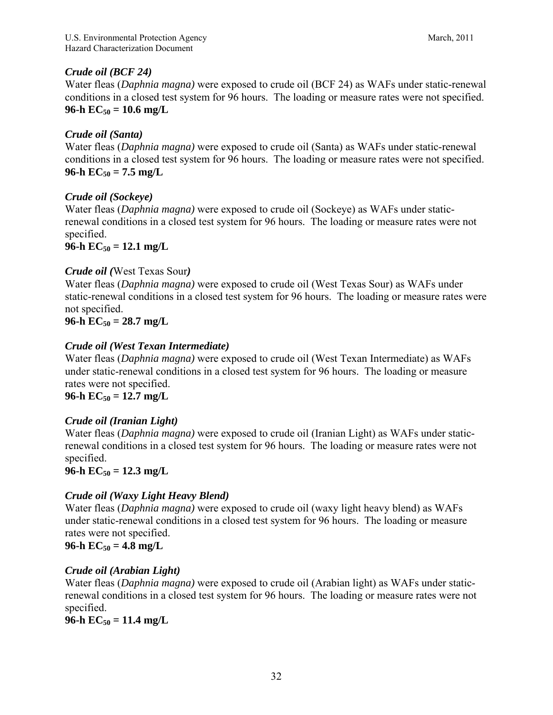## *Crude oil (BCF 24)*

Water fleas (*Daphnia magna)* were exposed to crude oil (BCF 24) as WAFs under static-renewal conditions in a closed test system for 96 hours. The loading or measure rates were not specified. **96-h**  $EC_{50} = 10.6$  mg/L

## *Crude oil (Santa)*

Water fleas (*Daphnia magna)* were exposed to crude oil (Santa) as WAFs under static-renewal conditions in a closed test system for 96 hours. The loading or measure rates were not specified.  $96-h$   $EC_{50} = 7.5$  mg/L

## *Crude oil (Sockeye)*

Water fleas (*Daphnia magna)* were exposed to crude oil (Sockeye) as WAFs under staticrenewal conditions in a closed test system for 96 hours. The loading or measure rates were not specified.

**96-h**  $EC_{50} = 12.1$  mg/L

#### *Crude oil (*West Texas Sour*)*

Water fleas (*Daphnia magna)* were exposed to crude oil (West Texas Sour) as WAFs under static-renewal conditions in a closed test system for 96 hours. The loading or measure rates were not specified.

 $96-h$   $EC_{50} = 28.7$  mg/L

## *Crude oil (West Texan Intermediate)*

Water fleas (*Daphnia magna)* were exposed to crude oil (West Texan Intermediate) as WAFs under static-renewal conditions in a closed test system for 96 hours. The loading or measure rates were not specified.

**96-h**  $EC_{50} = 12.7$  mg/L

## *Crude oil (Iranian Light)*

Water fleas (*Daphnia magna)* were exposed to crude oil (Iranian Light) as WAFs under staticrenewal conditions in a closed test system for 96 hours. The loading or measure rates were not specified.

 $96-h$   $EC_{50} = 12.3$  mg/L

## *Crude oil (Waxy Light Heavy Blend)*

Water fleas (*Daphnia magna)* were exposed to crude oil (waxy light heavy blend) as WAFs under static-renewal conditions in a closed test system for 96 hours. The loading or measure rates were not specified.

 $96-h$   $EC_{50} = 4.8$  mg/L

## *Crude oil (Arabian Light)*

Water fleas (*Daphnia magna)* were exposed to crude oil (Arabian light) as WAFs under staticrenewal conditions in a closed test system for 96 hours. The loading or measure rates were not specified.

 $96-h$   $EC_{50} = 11.4$  mg/L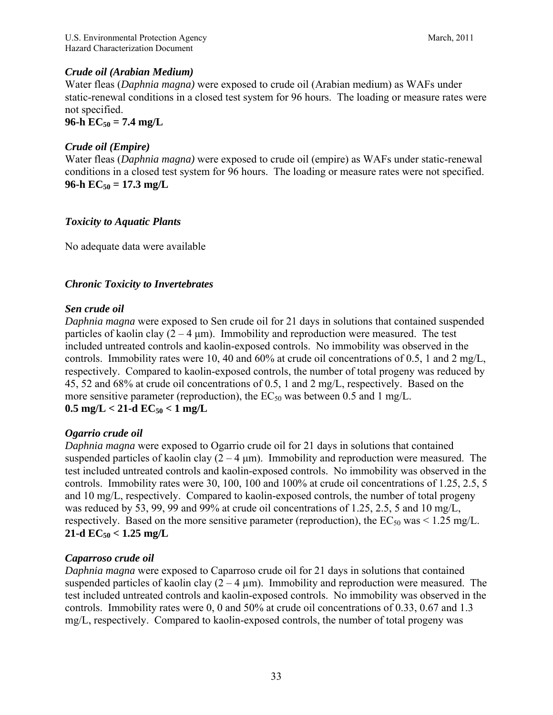## *Crude oil (Arabian Medium)*

Water fleas (*Daphnia magna)* were exposed to crude oil (Arabian medium) as WAFs under static-renewal conditions in a closed test system for 96 hours. The loading or measure rates were not specified.

 $96-h$   $EC_{50} = 7.4$  mg/L

## *Crude oil (Empire)*

Water fleas (*Daphnia magna)* were exposed to crude oil (empire) as WAFs under static-renewal conditions in a closed test system for 96 hours. The loading or measure rates were not specified.  $96-h$   $EC_{50} = 17.3$  mg/L

## *Toxicity to Aquatic Plants*

No adequate data were available

## *Chronic Toxicity to Invertebrates*

#### *Sen crude oil*

*Daphnia magna* were exposed to Sen crude oil for 21 days in solutions that contained suspended particles of kaolin clay  $(2 - 4 \mu m)$ . Immobility and reproduction were measured. The test included untreated controls and kaolin-exposed controls. No immobility was observed in the controls. Immobility rates were 10, 40 and 60% at crude oil concentrations of 0.5, 1 and 2 mg/L, respectively. Compared to kaolin-exposed controls, the number of total progeny was reduced by 45, 52 and 68% at crude oil concentrations of 0.5, 1 and 2 mg/L, respectively. Based on the more sensitive parameter (reproduction), the  $EC_{50}$  was between 0.5 and 1 mg/L.

# $0.5 \text{ mg/L} < 21 \text{--d} \text{ EC}_{50} < 1 \text{ mg/L}$

## *Ogarrio crude oil*

*Daphnia magna* were exposed to Ogarrio crude oil for 21 days in solutions that contained suspended particles of kaolin clay  $(2 - 4 \mu m)$ . Immobility and reproduction were measured. The test included untreated controls and kaolin-exposed controls. No immobility was observed in the controls. Immobility rates were 30, 100, 100 and 100% at crude oil concentrations of 1.25, 2.5, 5 and 10 mg/L, respectively. Compared to kaolin-exposed controls, the number of total progeny was reduced by 53, 99, 99 and 99% at crude oil concentrations of 1.25, 2.5, 5 and 10 mg/L, respectively. Based on the more sensitive parameter (reproduction), the  $EC_{50}$  was < 1.25 mg/L.  $21$ -d  $EC_{50} < 1.25$  mg/L

## *Caparroso crude oil*

*Daphnia magna* were exposed to Caparroso crude oil for 21 days in solutions that contained suspended particles of kaolin clay  $(2 - 4 \mu m)$ . Immobility and reproduction were measured. The test included untreated controls and kaolin-exposed controls. No immobility was observed in the controls. Immobility rates were 0, 0 and 50% at crude oil concentrations of 0.33, 0.67 and 1.3 mg/L, respectively. Compared to kaolin-exposed controls, the number of total progeny was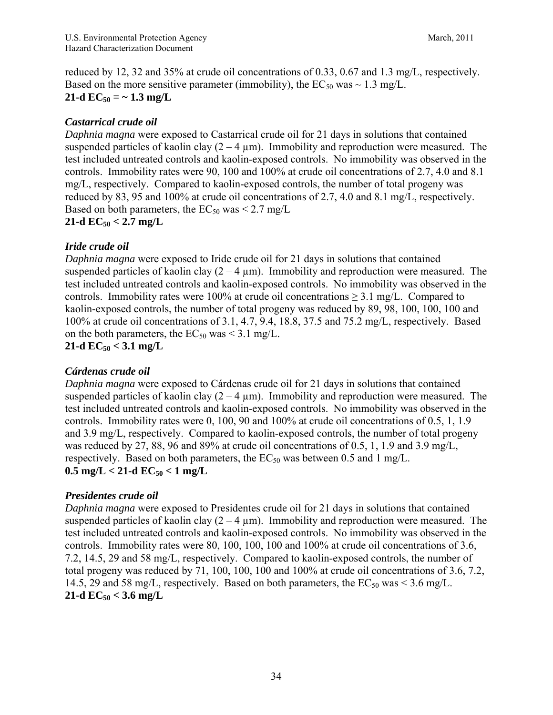reduced by 12, 32 and 35% at crude oil concentrations of 0.33, 0.67 and 1.3 mg/L, respectively. Based on the more sensitive parameter (immobility), the  $EC_{50}$  was  $\sim 1.3$  mg/L.  $21$ -d  $EC_{50} = \sim 1.3$  mg/L

## *Castarrical crude oil*

*Daphnia magna* were exposed to Castarrical crude oil for 21 days in solutions that contained suspended particles of kaolin clay  $(2 - 4 \mu m)$ . Immobility and reproduction were measured. The test included untreated controls and kaolin-exposed controls. No immobility was observed in the controls. Immobility rates were 90, 100 and 100% at crude oil concentrations of 2.7, 4.0 and 8.1 mg/L, respectively. Compared to kaolin-exposed controls, the number of total progeny was reduced by 83, 95 and 100% at crude oil concentrations of 2.7, 4.0 and 8.1 mg/L, respectively. Based on both parameters, the  $EC_{50}$  was  $\leq 2.7$  mg/L

## $21$ -d  $EC_{50} < 2.7$  mg/L

## *Iride crude oil*

*Daphnia magna* were exposed to Iride crude oil for 21 days in solutions that contained suspended particles of kaolin clay  $(2 - 4 \mu m)$ . Immobility and reproduction were measured. The test included untreated controls and kaolin-exposed controls. No immobility was observed in the controls. Immobility rates were 100% at crude oil concentrations  $\geq$  3.1 mg/L. Compared to kaolin-exposed controls, the number of total progeny was reduced by 89, 98, 100, 100, 100 and 100% at crude oil concentrations of 3.1, 4.7, 9.4, 18.8, 37.5 and 75.2 mg/L, respectively. Based on the both parameters, the  $EC_{50}$  was < 3.1 mg/L.

 $21$ -d  $EC_{50} < 3.1$  mg/L

## *Cárdenas crude oil*

*Daphnia magna* were exposed to Cárdenas crude oil for 21 days in solutions that contained suspended particles of kaolin clay  $(2 - 4 \mu m)$ . Immobility and reproduction were measured. The test included untreated controls and kaolin-exposed controls. No immobility was observed in the controls. Immobility rates were 0, 100, 90 and 100% at crude oil concentrations of 0.5, 1, 1.9 and 3.9 mg/L, respectively. Compared to kaolin-exposed controls, the number of total progeny was reduced by 27, 88, 96 and 89% at crude oil concentrations of 0.5, 1, 1.9 and 3.9 mg/L, respectively. Based on both parameters, the  $EC_{50}$  was between 0.5 and 1 mg/L.  $0.5 \text{ mg/L} < 21 \text{--d} \text{ EC}_{50} < 1 \text{ mg/L}$ 

## *Presidentes crude oil*

*Daphnia magna* were exposed to Presidentes crude oil for 21 days in solutions that contained suspended particles of kaolin clay  $(2 - 4 \mu m)$ . Immobility and reproduction were measured. The test included untreated controls and kaolin-exposed controls. No immobility was observed in the controls. Immobility rates were 80, 100, 100, 100 and 100% at crude oil concentrations of 3.6, 7.2, 14.5, 29 and 58 mg/L, respectively. Compared to kaolin-exposed controls, the number of total progeny was reduced by 71, 100, 100, 100 and 100% at crude oil concentrations of 3.6, 7.2, 14.5, 29 and 58 mg/L, respectively. Based on both parameters, the  $EC_{50}$  was < 3.6 mg/L. **21-d**  $EC_{50}$  **< 3.6 mg/L**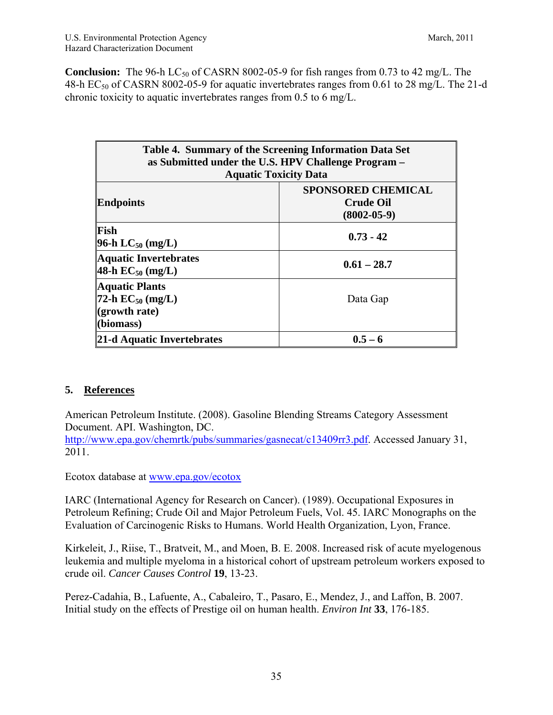**Conclusion:** The 96-h LC<sub>50</sub> of CASRN 8002-05-9 for fish ranges from 0.73 to 42 mg/L. The 48-h  $EC_{50}$  of CASRN 8002-05-9 for aquatic invertebrates ranges from 0.61 to 28 mg/L. The 21-d chronic toxicity to aquatic invertebrates ranges from 0.5 to 6 mg/L.

| Table 4. Summary of the Screening Information Data Set<br>as Submitted under the U.S. HPV Challenge Program -<br><b>Aquatic Toxicity Data</b> |                                                                    |  |  |
|-----------------------------------------------------------------------------------------------------------------------------------------------|--------------------------------------------------------------------|--|--|
| <b>Endpoints</b>                                                                                                                              | <b>SPONSORED CHEMICAL</b><br><b>Crude Oil</b><br>$(8002 - 05 - 9)$ |  |  |
| Fish<br><b>96-h LC</b> <sub>50</sub> (mg/L)                                                                                                   | $0.73 - 42$                                                        |  |  |
| Aquatic Invertebrates<br>$ 48-h \text{ EC}_{50} (\text{mg/L}) $                                                                               | $0.61 - 28.7$                                                      |  |  |
| Aquatic Plants<br><b>72-h EC</b> <sub>50</sub> (mg/L)<br>$\ $ (growth rate)<br>$\lambda$ (biomass)                                            | Data Gap                                                           |  |  |
| 21-d Aquatic Invertebrates                                                                                                                    | $0.5 - 6$                                                          |  |  |

## **5. References**

American Petroleum Institute. (2008). Gasoline Blending Streams Category Assessment Document. API. Washington, DC.

http://www.epa.gov/chemrtk/pubs/summaries/gasnecat/c13409rr3.pdf. Accessed January 31, 2011.

Ecotox database at www.epa.gov/ecotox

IARC (International Agency for Research on Cancer). (1989). Occupational Exposures in Petroleum Refining; Crude Oil and Major Petroleum Fuels, Vol. 45. IARC Monographs on the Evaluation of Carcinogenic Risks to Humans. World Health Organization, Lyon, France.

Kirkeleit, J., Riise, T., Bratveit, M., and Moen, B. E. 2008. Increased risk of acute myelogenous leukemia and multiple myeloma in a historical cohort of upstream petroleum workers exposed to crude oil. *Cancer Causes Control* **19**, 13-23.

Perez-Cadahia, B., Lafuente, A., Cabaleiro, T., Pasaro, E., Mendez, J., and Laffon, B. 2007. Initial study on the effects of Prestige oil on human health. *Environ Int* **33**, 176-185.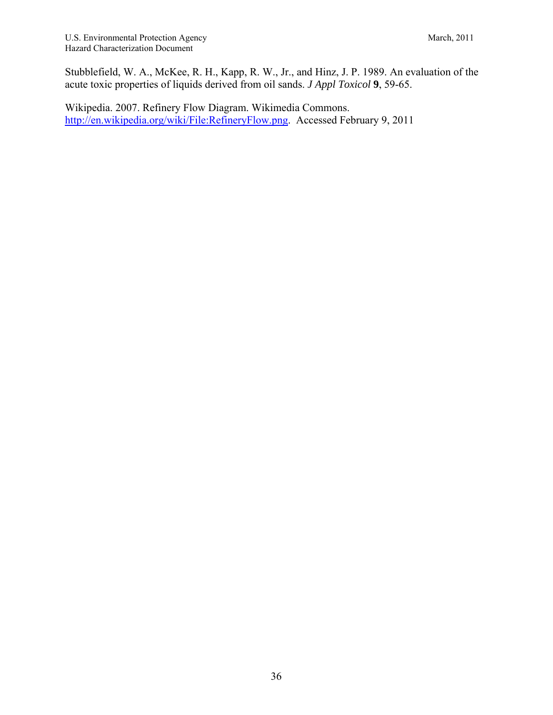Stubblefield, W. A., McKee, R. H., Kapp, R. W., Jr., and Hinz, J. P. 1989. An evaluation of the acute toxic properties of liquids derived from oil sands. *J Appl Toxicol* **9**, 59-65.

Wikipedia. 2007. Refinery Flow Diagram. Wikimedia Commons. http://en.wikipedia.org/wiki/File:RefineryFlow.png. Accessed February 9, 2011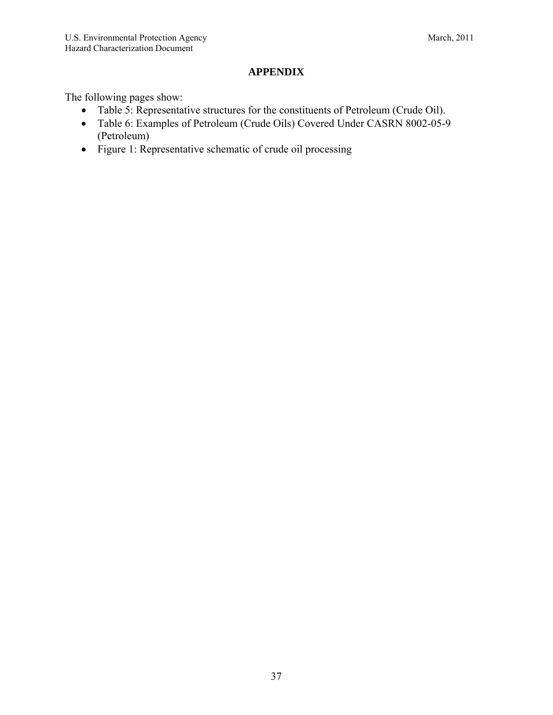## **APPENDIX**

The following pages show:

- Table 5: Representative structures for the constituents of Petroleum (Crude Oil).
- Table 6: Examples of Petroleum (Crude Oils) Covered Under CASRN 8002-05-9 (Petroleum)
- Figure 1: Representative schematic of crude oil processing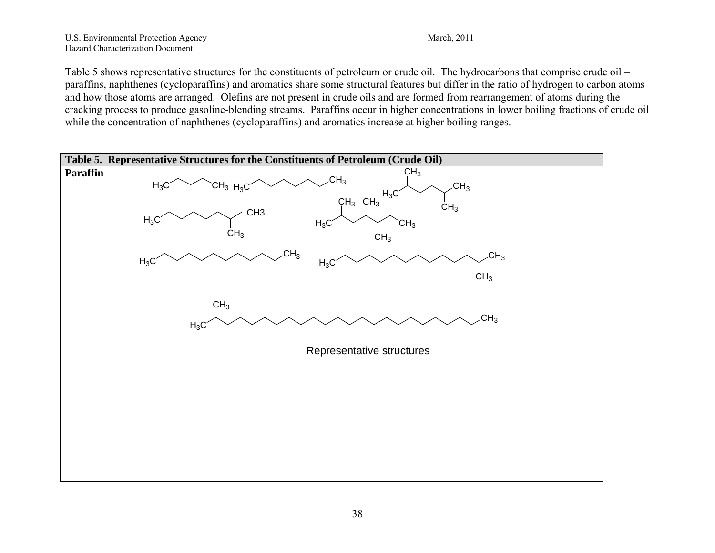#### U.S. Environmental Protection Agency March, 2011 Hazard Characterization Document

Table 5 shows representative structures for the constituents of petroleum or crude oil. The hydrocarbons that comprise crude oil – paraffins, naphthenes (cycloparaffins) and aromatics share some structural features but differ in the ratio of hydrogen to carbon atoms and how those atoms are arranged. Olefins are not present in crude oils and are formed from rearrangement of atoms during the cracking process to produce gasoline-blending streams. Paraffins occur in higher concentrations in lower boiling fractions of crude oil while the concentration of naphthenes (cycloparaffins) and aromatics increase at higher boiling ranges.

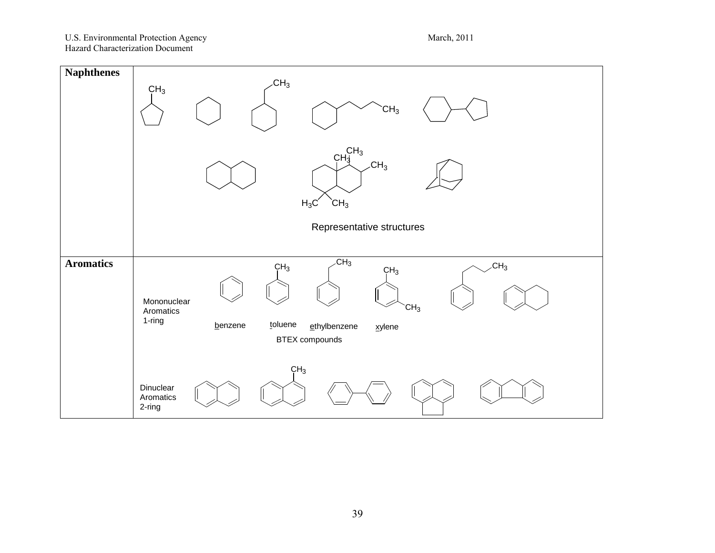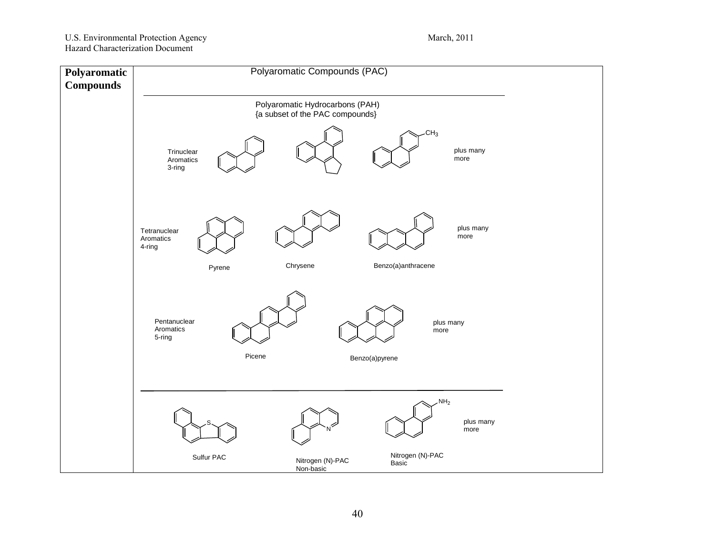# U.S. Environmental Protection Agency March, 2011

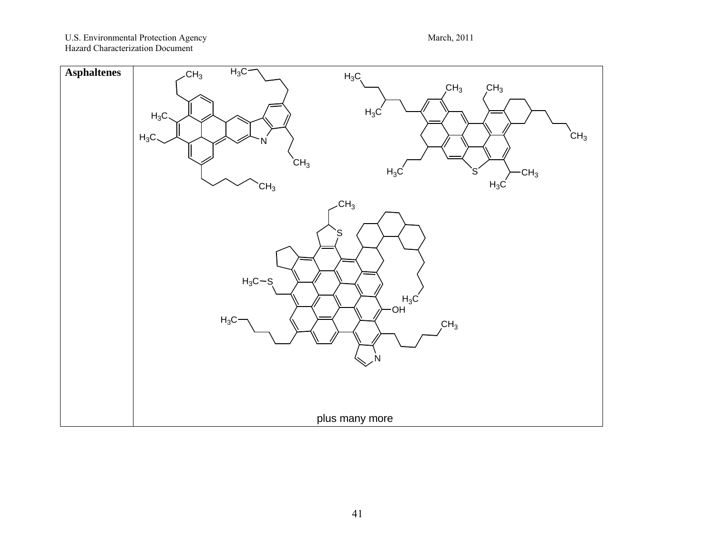U.S. Environmental Protection Agency March, 2011 Hazard Characterization Document

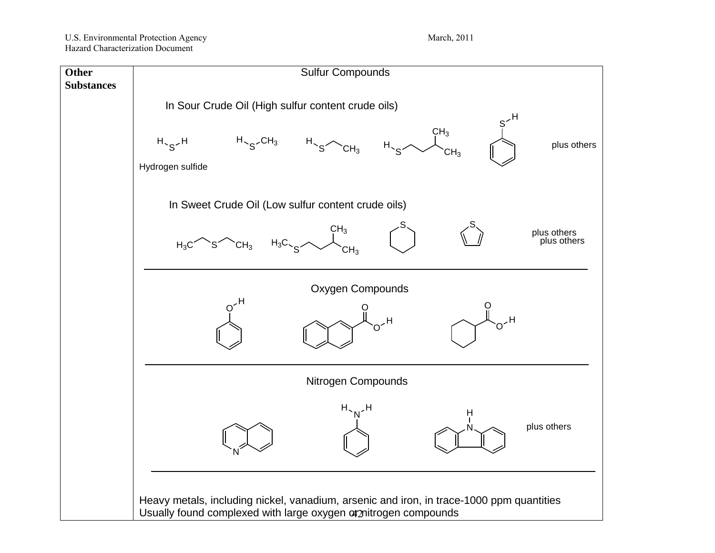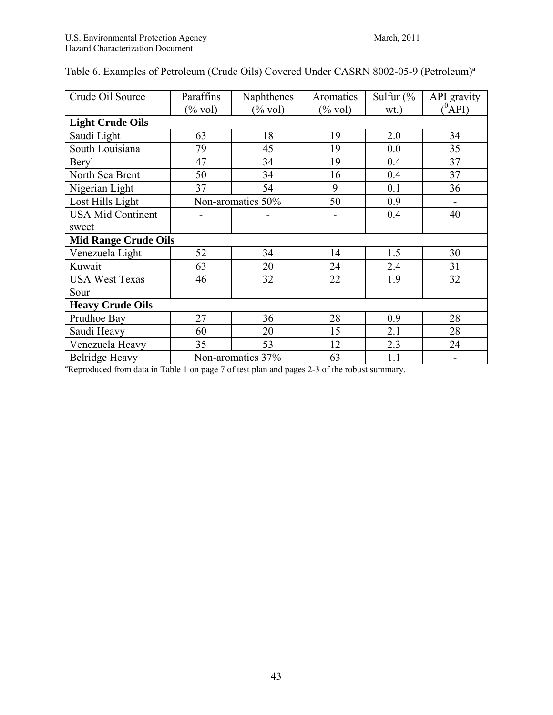| Crude Oil Source         | Paraffins                   | Naphthenes         | Aromatics  | Sulfur $\frac{6}{6}$ | API gravity |
|--------------------------|-----------------------------|--------------------|------------|----------------------|-------------|
|                          | $(\%$ vol)                  | $(\% \text{ vol})$ | $(\%$ vol) | $wt.$ )              | $(^0$ API)  |
| <b>Light Crude Oils</b>  |                             |                    |            |                      |             |
| Saudi Light              | 63                          | 18                 | 19         | 2.0                  | 34          |
| South Louisiana          | 79                          | 45                 | 19         | 0.0                  | 35          |
| Beryl                    | 47                          | 34                 | 19         | 0.4                  | 37          |
| North Sea Brent          | 50                          | 34                 | 16         | 0.4                  | 37          |
| Nigerian Light           | 37                          | 54                 | 9          | 0.1                  | 36          |
| Lost Hills Light         | Non-aromatics 50%           |                    | 50         | 0.9                  |             |
| <b>USA Mid Continent</b> |                             |                    |            | 0.4                  | 40          |
| sweet                    |                             |                    |            |                      |             |
|                          | <b>Mid Range Crude Oils</b> |                    |            |                      |             |
| Venezuela Light          | 52                          | 34                 | 14         | 1.5                  | 30          |
| Kuwait                   | 63                          | 20                 | 24         | 2.4                  | 31          |
| <b>USA West Texas</b>    | 46                          | 32                 | 22         | 1.9                  | 32          |
| Sour                     |                             |                    |            |                      |             |
| <b>Heavy Crude Oils</b>  |                             |                    |            |                      |             |
| Prudhoe Bay              | 27                          | 36                 | 28         | 0.9                  | 28          |
| Saudi Heavy              | 60                          | 20                 | 15         | 2.1                  | 28          |
| Venezuela Heavy          | 35                          | 53                 | 12         | 2.3                  | 24          |
| <b>Belridge Heavy</b>    | Non-aromatics 37%           |                    | 63         | 1.1                  |             |

# Table 6. Examples of Petroleum (Crude Oils) Covered Under CASRN 8002-05-9 (Petroleum)**<sup>a</sup>**

**Belridge Heavy** Non-aromatics  $37\%$  63 1.1  $\blacksquare$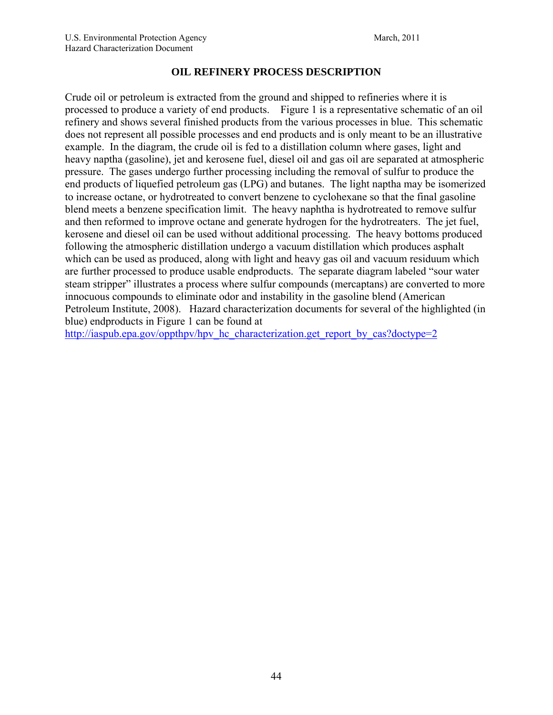## **OIL REFINERY PROCESS DESCRIPTION**

Crude oil or petroleum is extracted from the ground and shipped to refineries where it is processed to produce a variety of end products. Figure 1 is a representative schematic of an oil refinery and shows several finished products from the various processes in blue. This schematic does not represent all possible processes and end products and is only meant to be an illustrative example. In the diagram, the crude oil is fed to a distillation column where gases, light and heavy naptha (gasoline), jet and kerosene fuel, diesel oil and gas oil are separated at atmospheric pressure. The gases undergo further processing including the removal of sulfur to produce the end products of liquefied petroleum gas (LPG) and butanes. The light naptha may be isomerized to increase octane, or hydrotreated to convert benzene to cyclohexane so that the final gasoline blend meets a benzene specification limit. The heavy naphtha is hydrotreated to remove sulfur and then reformed to improve octane and generate hydrogen for the hydrotreaters. The jet fuel, kerosene and diesel oil can be used without additional processing. The heavy bottoms produced following the atmospheric distillation undergo a vacuum distillation which produces asphalt which can be used as produced, along with light and heavy gas oil and vacuum residuum which are further processed to produce usable endproducts. The separate diagram labeled "sour water steam stripper" illustrates a process where sulfur compounds (mercaptans) are converted to more innocuous compounds to eliminate odor and instability in the gasoline blend (American Petroleum Institute, 2008). Hazard characterization documents for several of the highlighted (in blue) endproducts in Figure 1 can be found at

http://iaspub.epa.gov/oppthpv/hpv\_hc\_characterization.get\_report\_by\_cas?doctype=2